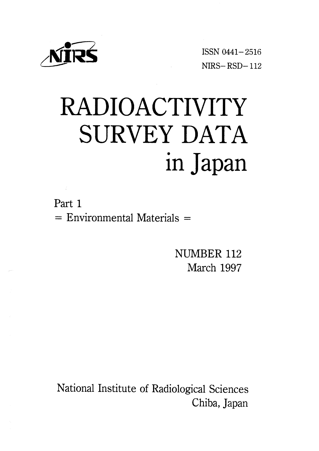

ISSN 0441-2516  $NIRS - RSD - 112$ 

# RADIOACTIVITY SURVEY DATA in Japan

Part 1  $=$  Environmental Materials  $=$ 

> NUMBER 112 March 1997

National Institute of Radiological Sciences Chiba, Japan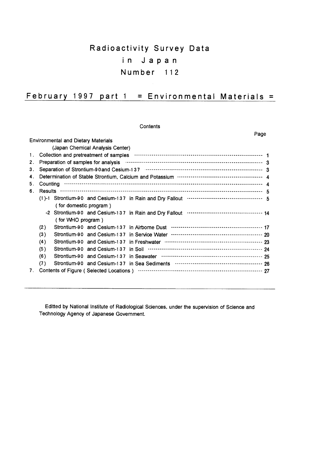# Radioactivity Survey Data in Japan Number 112

## February 1997 part  $1 =$  Environmental Materials =

|    |                |                                            |                                  | Contents                                                                                                                                                                                                                       |  |
|----|----------------|--------------------------------------------|----------------------------------|--------------------------------------------------------------------------------------------------------------------------------------------------------------------------------------------------------------------------------|--|
|    |                |                                            |                                  | Page                                                                                                                                                                                                                           |  |
|    |                | <b>Environmental and Dietary Materials</b> |                                  |                                                                                                                                                                                                                                |  |
|    |                |                                            | (Japan Chemical Analysis Center) |                                                                                                                                                                                                                                |  |
| 1. |                |                                            |                                  |                                                                                                                                                                                                                                |  |
| 2. |                |                                            |                                  | Preparation of samples for analysis manufacture content content content and all all the Preparation of samples for analysis material content and all the Preparation of Senate and Senate and Senate and Senate and Senate and |  |
| З. |                |                                            |                                  |                                                                                                                                                                                                                                |  |
| 4. |                |                                            |                                  |                                                                                                                                                                                                                                |  |
| 5. |                |                                            |                                  |                                                                                                                                                                                                                                |  |
| 6. | <b>Results</b> |                                            |                                  |                                                                                                                                                                                                                                |  |
|    |                |                                            |                                  |                                                                                                                                                                                                                                |  |
|    |                | (for domestic program)                     |                                  |                                                                                                                                                                                                                                |  |
|    |                |                                            |                                  |                                                                                                                                                                                                                                |  |
|    |                | (for WHO program)                          |                                  |                                                                                                                                                                                                                                |  |
|    | (2)            |                                            |                                  | Strontium-90 and Cesium-137 in Airborne Dust …………………………………………… 17                                                                                                                                                              |  |
|    | (3)            |                                            |                                  |                                                                                                                                                                                                                                |  |
|    | (4)            |                                            |                                  |                                                                                                                                                                                                                                |  |
|    | (5)            |                                            |                                  | Strontium-90 and Cesium-137 in Soil ………………………………………………………… 24                                                                                                                                                                  |  |
|    | (6)            |                                            |                                  |                                                                                                                                                                                                                                |  |
|    | (7)            |                                            |                                  |                                                                                                                                                                                                                                |  |
| 7. |                |                                            |                                  |                                                                                                                                                                                                                                |  |

Editted by National Institute of Radiological Sciences, under the supervision of Science and Technology Agency of Japanese Government.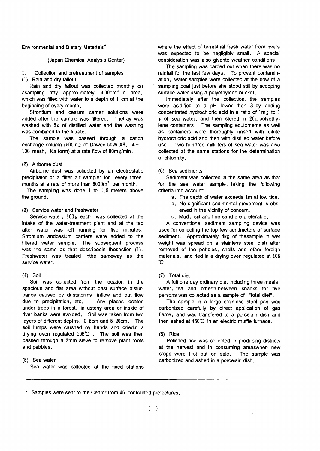#### **Environmental and Dietary Materials\***

## (Japan Chemical Analysis Center)

#### Collection and pretreatment of samples  $\mathbf{1}$

(1) Rain and dry fallout

Rain and dry fallout was collected monthly on asampling tray, approximately 5000cm<sup>2</sup> in area, which was filled with water to a depth of 1 cm at the beginning of every month.

Strontium and cesium carrier solutions were added after the sample was filtered. Thetray was washed with 50 of distilled water and the washing was combined to the filtrate.

The sample was passed through a cation exchange column (500m<sub>2</sub> of Dowex 50W X8, 50 $\sim$ 100 mesh, Na form) at a rate flow of 80m g/min.

## (2) Airborne dust

Airborne dust was collected by an electrostatic precipitator or a filter air sampler for every threemonths at a rate of more than 3000m<sup>3</sup> per month.

The sampling was done  $1$  to  $1.5$  meters above the ground.

#### (3) Service water and freshwater

Service water,  $100\ell$  each, was collected at the intake of the water-treatment plant and at the tap after water was left running for five minutes. Strontium andcesium carriers were added to the filtered water sample. The subsequent process was the same as that described in the section (1). Freshwater was treated inthe sameway as the service water.

#### $(4)$  Soil

Soil was collected from the location in the spacious and flat area without past surface disturbance caused by duststorms, inflow and out flow due to precipitation, etc.. Any places located under trees in a forest, in astony area or inside of river banks were avoided. Soil was taken from two layers of different depths, 0-5cm and 5-20cm. The soil lumps were crushed by hands and driedin a drying oven regulated 105°C. The soil was then passed through a 2mm sieve to remove plant roots and pebbles.

## (5) Sea water Sea water was collected at the fixed stations

where the effect of terrestrial fresh water from nvers was expected to be negligibly small. A special consideration was also givento weather conditions.

The sampling was carried out when there was no rainfall for the last few days. To prevent contamination, water samples were collected at the bow of a sampling boat just before she stood still by scooping surface water using a polyethylene bucket.

Immediately after the collection, the samples were acidified to a pH lower than 3 by adding concentrated hydrochloric acid in a ratio of 1m<sub>2</sub> to 1  $\varrho$  of sea water, and then stored in 20 $\varrho$  polyethylene containers. The sampling equipments as well as containers were thoroughly rinsed with dilute hydrochloric acid and then with distilled water before use. Two hundred milliliters of sea water was also collected at the same stations for the determination of chlorinity.

#### (6) Sea sediments

Sediment was collected in the same area as that for the sea water sample, taking the following criteria into account:

- a. The depth of water exceeds 1m at low tide.
- b. No significant sedimental movement is observed in the vicinity of concern.
- c. Mud, silt and fine sand are preferable.

A conventional sediment sampling device was used for collecting the top few centimeters of surface sediment. Approximately 4kg of thesample in wet weight was spread on a stainless steel dish after removed of the pebbles, shells and other foreign materials, and ried in a drying oven regulated at 105  $^{\circ}C$ .

## (7) Total diet

A full one day ordinary diet including three meals, water, tea and otherin-between snacks for five persons was collected as a sample of "total diet".

The sample in a large stainless steel pan was carbonized carefully by direct application of gas flame, and was transfered to a porcelain dish and then ashed at 450°C in an electric muffle furnace.

#### $(8)$  Rice

Polished rice was collected in producing districts at the harvest and in consuming areaswhen new crops were first put on sale. The sample was carbonized and ashed in a porcelain dish.

<sup>\*</sup> Samples were sent to the Center from 46 contracted prefectures.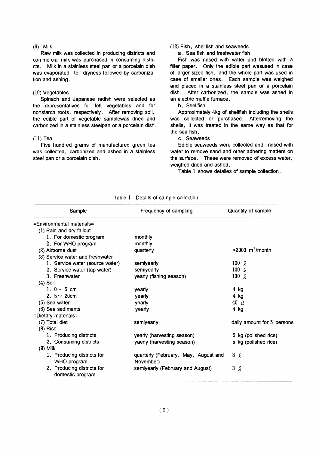#### $(9)$  Milk

Raw milk was collected in producing districts and commercial milk was purchased in consuming districts. Milk in a stainless steel pan or a porcelain dish was evaporated to dryness followed by carbonization and ashing.

#### (10) Vegetables

Spinach and Japanese radish were selected as the representatives for left vegetables and for nonstarch roots, respectively. After removing soil, the edible part of vegetable samplewas dried and carbonized in a stainless steelpan or a porcelain dish.

## $(11)$  Tea

Five hundred grams of manufactured green tea was collected, carbonized and ashed in a stainless steel pan or a porcelain dish.

## (12) Fish, shellfish and seaweeds

a. Sea fish and freshwater fish

Fish was rinsed with water and blotted with a filter paper. Only the edible part wasused in case of larger sized fish, and the whole part was used in case of smaller ones. Each sample was weighed and placed in a stainless steel pan or a porcelain dish. After carbonized, the sample was ashed in an electric muffle furnace.

#### b. Shellfish

Approximately 4kg of shellfish including the shells was collected or purchased. Afterremoving the shells, it was treated in the same way as that for the sea fish.

c. Seaweeds

Edible seaweeds were collected and rinsed with water to remove sand and other adhering matters on the surface. These were removed of excess water, weighed dried and ashed.

Table 1 shows detailes of sample collection.

| Sample                                         | Frequency of sampling                | Quantity of sample            |
|------------------------------------------------|--------------------------------------|-------------------------------|
| =Environmental materials=                      |                                      |                               |
| (1) Rain and dry fallout                       |                                      |                               |
| 1. For domestic program                        | monthly                              |                               |
| 2. For WHO program                             | monthly                              |                               |
| (2) Airborne dust                              | quarterly                            | $>3000$ m <sup>3</sup> /month |
| (3) Service water and freshwater               |                                      |                               |
| 1. Service water (source water)                | semiyearly                           | $100\degree$                  |
| 2. Service water (tap water)                   | semiyearly                           | 100 $\Omega$                  |
| 3. Freshwater                                  | yearly (fishing season)              | 100 $\ell$                    |
| $(4)$ Soil                                     |                                      |                               |
| 1. $0 \sim 5$ cm                               | yearly                               | $4$ kg                        |
| 2. $5 \sim 20$ cm                              | yearly                               | $4$ kg                        |
| $(5)$ Sea water                                | yearly                               | 40 Q                          |
| (6) Sea sediments                              | yearly                               | $4$ kg                        |
| =Dietary materials=                            |                                      |                               |
| (7) Total diet                                 | semiyearly                           | daily amount for 5 persons    |
| $(8)$ Rice                                     |                                      |                               |
| 1. Producing districts                         | yearly (harvesting season)           | 5 kg (polished rice)          |
| 2. Consuming districts                         | yaerly (harvesting season)           | 5 kg (polished rice)          |
| $(9)$ Milk                                     |                                      |                               |
| 1. Producing districts for                     | quarterly (February, May, August and | 3Q                            |
| WHO program                                    | November)                            |                               |
| 2. Producing districts for<br>domestic program | semiyearly (February and August)     | 3<br>2                        |

Table 1 Details of sample collection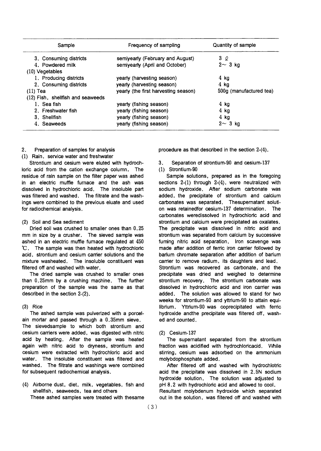| Sample                            | Frequency of sampling                | Quantity of sample        |  |  |
|-----------------------------------|--------------------------------------|---------------------------|--|--|
| 3. Consuming districts            | semiyearly (February and August)     | 3Q                        |  |  |
| 4. Powdered milk                  | semiyearly (April and October)       | $2 \sim 3$ kg             |  |  |
| $(10)$ Vegetables                 |                                      |                           |  |  |
| 1. Producing districts            | yearly (harvesting season)           | $4$ kg                    |  |  |
| 2. Consuming districts            | yearly (harvesting season)           | 4 kg                      |  |  |
| $(11)$ Tea                        | yearly (the first harvesting season) | 500g (manufactured tea)   |  |  |
| (12) Fish, shellfish and seaweeds |                                      |                           |  |  |
| 1. Sea fish                       | yearly (fishing season)              | $4$ kg                    |  |  |
| 2. Freshwater fish                | yearly (fishing season)              | $4$ kg                    |  |  |
| 3. Shellfish                      | yearly (fishing season)              | $4$ kg                    |  |  |
| 4. Seaweeds                       | yearly (fishing season)              | $3 \text{ kg}$<br>$2\sim$ |  |  |

#### $2.$ Preparation of samples for analysis

(1) Rain, service water and freshwater

Strontium and cesium were eluted with hydrochloric acid from the cation exchange column. The residue of rain sample on the filter paper was ashed in an electric muffle furnace and the ash was dissolved in hydrochloric acid. The insoluble part was filtered and washed. The filtrate and the washings were combined to the previous eluate and used for radiochemical analysis.

## (2) Soil and Sea sediment

Dried soil was crushed to smaller ones than 0.25 mm in size by a crusher. The sieved sample was ashed in an electric muffle furnace regulated at 450 °C. The sample was then heated with hydrochloric acid, strontium and cesium carrier solutions and the mixture washeated. The insoluble constituent was filtered off and washed with water.

The dried sample was crushed to smaller ones than 0.25mm by a crushing machine. The further preparation of the sample was the same as that described in the section 2-(2).

## $(3)$  Rice

The ashed sample was pulverized with a porcelain mortar and passed through a 0,35mm sieve. The sievedsample to which both strontium and cesium carriers were added, was digested with nitric acid by heating. After the sample was heated again with nitric acid to dryness, strontium and cesium were extracted with hydrochloric acid and water. The insoluble constituent was filtered and washed. The filtrate and washings were combined for subsequent radiochemical analysis.

(4) Airborne dust, diet, milk, vegetables, fish and shellfish, seaweeds, tea and others

These ashed samples were treated with thesame

procedure as that described in the section 2-(4).

Separation of strontium-90 and cesium-137  $3.$ (1) Strontium-90

Sample solutions, prepared as in the foregoing sections  $2-(1)$  through  $2-(4)$ , were neutralized with sodium hydroxide. After sodium carbonate was added, the precipitate of strontium and calcium carbonates was separated. Thesupernatant solution was retained for cesium-137 determination. The carbonates weredissolved in hydrochloric acid and strontium and calcium were precipitated as oxalates. The precipitate was dissolved in nitric acid and strontium was separated from calcium by successive fuming nitric acid separation. Iron scavenge was made after addition of ferric iron carrier followed by barium chromate separation after addition of barium carrier to remove radium, its daughters and lead. Strontium was recovered as carbonate, and the precipitate was dried and weighed to determine strontium recovery. The strontium carbonate was dissolved in hydrochloric acid and iron carrier was added. The solution was allowed to stand for two weeks for strontium-90 and yttrium-90 to attain equilibrium. Yttrium-90 was coprecipitated with ferric hydroxide andthe precipitate was filtered off, washed and counted.

## (2) Cesium-137

The supernatant separated from the strontium fraction was acidified with hydrochloricacid. While stirring, cesium was adsorbed on the ammonium molybdophosphate added.

After filtered off and washed with hydrochlotric acid the precipitate was dissolved in 2.5N sodium hydroxide solution. The solution was adjusted to pH 8.2 with hydrochloric acid and allowed to cool, Resultant molybdenum hydroxide which separated out in the solution, was filtered off and washed with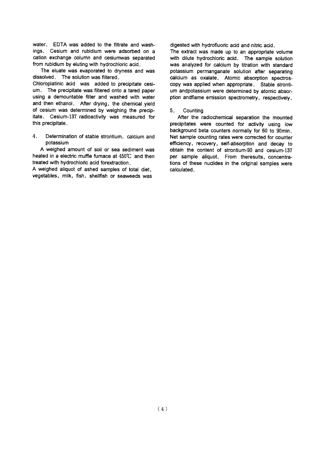water. EDTA was added to the filtrate and washings. Cesium and rubidium were adsorbed on a cation exchange column and cesiumwas separated from rubidium by eluting with hydrochloric acid.

The eluate was evaporated to dryness and was dissolved. The solution was filtered.

Chloroplatinic acid was added to precipitate cesium. The precipitate was filtered onto a tared paper using a demountable filter and washed with water and then ethanol. After drying, the chemical vield of cesium was determined by weighing the precipitate. Cesium-137 radioactivity was measured for this precipitate.

 $\overline{4}$ Determination of stable strontium, calcium and potassium

A weighed amount of soil or sea sediment was heated in a electric muffle fumace at 450°C and then treated with hydrochloric acid forextraction.

A weighed aliquot of ashed samples of total diet, vegetables, milk, fish, shellfish or seaweeds was digested with hydrofluoric acid and nitric acid.

The extract was made up to an appropriate volume with dilute hydrochloric acid. The sample solution was analyzed for calcium by titration with standard potassium permanganate solution after separating calcium as oxalate. Atomic absorption spectroscopy was applied when appropriate. Stable strontium andpotassium were determined by atomic absorption andflame emission spectrometry, respectively.

#### $5<sub>1</sub>$ Countina

After the radiochemical separation the mounted precipitates were counted for activity using low background beta counters normally for 60 to 90min. Net sample counting rates were corrected for counter efficiency, recovery, self-absorption and decay to obtain the content of strontium-90 and cesium-137 per sample aliquot. From theresults, concentrations of these nuclides in the original samples were calculated.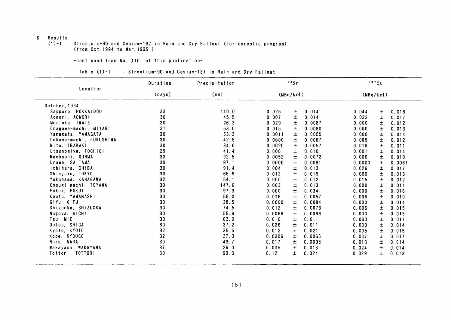## 6. Results

#### $(1)-1$ Strontuim-90 and Cesium-137 in Rain and Dry Fallout (for domestic program) (from Oct. 1994 to Mar. 1995)

-continued from No, 110 of this publication-

| Table $(1)-1$ |  | : Strontium-90 and Cesium-137 in Rain and Dry Fallout |  |  |
|---------------|--|-------------------------------------------------------|--|--|
|---------------|--|-------------------------------------------------------|--|--|

|                         | Duration | Precipitation |        | 90Sr     |        |          | 137Cs |        |
|-------------------------|----------|---------------|--------|----------|--------|----------|-------|--------|
| Location                | (days)   | (mm)          |        | (MBq/km) |        | (MBq/km) |       |        |
| October. 1994           |          |               |        |          |        |          |       |        |
| Sapporo, HOKKAIDOU      | 33       | 140.0         | 0.025  | 土        | 0.014  | 0.044    | ±.    | 0.018  |
| Aomori, AOMORI          | 30       | 45.5          | 0.007  | $\pm$    | 0.014  | 0.022    | 士     | 0.017  |
| Morioka, IWATE          | 30       | 26.3          | 0.029  | 士        | 0.0087 | 0.000    | Ŧ.    | 0.012  |
| Onagawa-machi, MIYAGI   | 31       | 53.0          | 0.015  | 土        | 0.0080 | 0.000    | 土     | 0.013  |
| Yamagata, YAMAGATA      | 30       | 53.3          | 0.0011 | 士        | 0.0055 | 0.000    | 土     | 0.014  |
| Ookuma-machi. FUKUSHIMA | 30       | 42.5          | 0.0000 | $\pm$    | 0.0067 | 0.005    | 士     | 0.012  |
| Mito, IBARAKI           | 30       | 34.0          | 0.0020 | 士        | 0.0057 | 0.018    | 士     | 0.011  |
| Utsunomiya, TOCHIGI     | 29       | 41.4          | 0.008  | $\pm$    | 0.010  | 0.001    | 士     | 0.014  |
| Maebashi, GUNMA         | 33       | 92.5          | 0.0052 | $\pm$    | 0.0072 | 0.000    | $\pm$ | 0.010  |
| Urawa, SAITAMA          | 30       | 97.1          | 0.0000 | 土        | 0.0081 | 0.0000   | 士     | 0.0067 |
| ichihara, CHIBA         | 30       | 91.4          | 0.004  | 土        | 0.013  | 0.026    | 土     | 0.017  |
| Shinjuku, TOKYO         | 30       | 66.9          | 0.012  | 土        | 0.019  | 0.000    | 士     | 0.013  |
| Yokohama, KANAGAWA      | 32       | 54.1          | 0.000  | $\pm$    | 0.012  | 0.015    | 士     | 0.012  |
| Kosugi-machi, TOYAMA    | 30       | 147.6         | 0.003  | $\pm$    | 0.013  | 0.000    | $\pm$ | 0.011  |
| Fukui, FUKUI            | 30       | 97.3          | 0.000  | Ŧ        | 0.034  | 0.000    | 土     | 0.076  |
| Koufu, YAMANASHI        | 30       | 56.0          | 0.016  | $\pm$    | 0.0057 | 0.006    | 士     | 0.010  |
| Gifu, GIFU              | 30       | 38.5          | 0.0000 | $\pm$    | 0.0084 | 0.000    | 士     | 0.014  |
| Shizuoka, SHIZUOKA      | 30       | 74.5          | 0.012  | $\pm$    | 0.0073 | 0.006    | 土     | 0.015  |
| Nagoya, AICHI           | 30       | 55.9          | 0.0066 | 士        | 0.0063 | 0.000    | 士     | 0.015  |
| Tsu, MIE                | 30       | 63.0          | 0.010  | 士        | 0.011  | 0.030    | $\pm$ | 0.017  |
| Ootsu, SHIGA            | 30       | 37.2          | 0.026  | 土        | 0.011  | 0.000    | 士     | 0.014  |
| Kyoto, KYOTO            | 32       | 35.5          | 0.012  | 士        | 0.021  | 0.005    | 士     | 0.015  |
| Kobe, HYOUGO            | 32       | 27.3          | 0.0006 | 士        | 0.0066 | 0.037    | ±.    | 0.017  |
| Nara, NARA              | 30       | 43.7          | 0.017  | 土        | 0.0098 | 0.013    | $\pm$ | 0.014  |
| Wakayama, WAKAYAMA      | 37       | 26.0          | 0.005  | 土        | 0.018  | 0.024    | 士     | 0.014  |
| Tottori, TOTTORI        | 30       | 99.3          | 0.12   | 士        | 0.024  | 0.029    | Ŧ.    | 0.013  |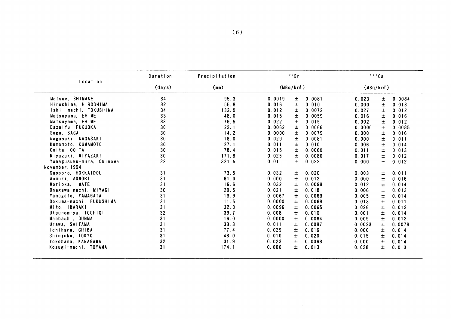| Location                 | Duration        | Precipitation |          | 90Sr  |        |          | 137Cs |        |
|--------------------------|-----------------|---------------|----------|-------|--------|----------|-------|--------|
|                          | (days)          | (mm)          | (MBq/km) |       |        | (MBq/km) |       |        |
| Matsue, SHIMANE          | 34              | 95.3          | 0.0019   | 土     | 0.0081 | 0.023    | $\pm$ | 0.0084 |
| Hiroshima, HIROSHIMA     | 32              | 55.8          | 0.016    | 土     | 0.010  | 0.000    | $\pm$ | 0.013  |
| Ishii-machi, TOKUSHIMA   | 34              | 132.5         | 0.012    | $\pm$ | 0.0072 | 0.027    | $\pm$ | 0.012  |
| Matsuyama, EHIME         | 33              | 48.0          | 0.015    | Ŧ     | 0.0059 | 0.016    | $\pm$ | 0.016  |
| Matsuyama, EHIME         | 33              | 79.5          | 0.022    | 土     | 0.015  | 0.002    | 土     | 0.012  |
| Dazaifu, FUKUOKA         | 30              | 22.1          | 0.0062   | 士     | 0.0066 | 0.0000   | $\pm$ | 0.0085 |
| Saga, SAGA               | 30              | 14.2          | 0.0000   | $\pm$ | 0.0079 | 0.000    | $\pm$ | 0.016  |
| Nagasaki, NAGASAKI       | 30              | 18.0          | 0.029    | 士     | 0.0081 | 0.000    | $\pm$ | 0.011  |
| Kumamoto, KUMAMOTO       | 30              | 27.1          | 0.011    | $\pm$ | 0.010  | 0.006    | 士     | 0.014  |
| Ooita, OOITA             | 30              | 78.4          | 0.015    | ±.    | 0.0060 | 0.011    | Ŧ.    | 0.013  |
| Miyazaki, MIYAZAKI       | 30 <sub>o</sub> | 171.8         | 0.025    | $\pm$ | 0.0080 | 0.017    | 士     | 0.012  |
| Yonagusuku-mura, Okinawa | 32 <sub>2</sub> | 321.5         | 0.01     | $\pm$ | 0.022  | 0.000    | $\pm$ | 0.012  |
| November, 1994           |                 |               |          |       |        |          |       |        |
| Sapporo, HOKKAIDOU       | 31              | 73.5          | 0.032    | 土     | 0.020  | 0.003    | 土     | 0.011  |
| Aomori, AOMORI           | 31              | 61.0          | 0.000    | ±.    | 0.012  | 0.000    | Ŧ     | 0.016  |
| Morioka, IWATE           | 31              | 16.6          | 0.032    | Ŧ     | 0.0099 | 0.012    | $\pm$ | 0.014  |
| Onagawa-machi, MIYAGI    | 30              | 20.5          | 0.021    | 土     | 0.018  | 0.006    | $\pm$ | 0.013  |
| Yamagata, YAMAGATA       | 31              | 13.9          | 0.0067   | 士     | 0.0063 | 0.005    | ±.    | 0.014  |
| Ookuma-machi, FUKUSHIMA  | 31              | 11.5          | 0.0000   | 土     | 0.0068 | 0.013    | $\pm$ | 0.011  |
| Mito, IBARAKI            | 31              | 32.0          | 0.0096   | $\pm$ | 0.0065 | 0.026    | $\pm$ | 0.012  |
| Utsunomiya, TOCHIGI      | 32              | 39.7          | 0.008    | $\pm$ | 0.010  | 0.001    | $\pm$ | 0.014  |
| Maebashi, GUNMA          | 31              | 16.0          | 0.0000   | 士     | 0.0064 | 0.009    | $\pm$ | 0.012  |
| Urawa, SAITAMA           | 31              | 33.3          | 0.011    | 土     | 0.0087 | 0.0023   | 土     | 0.0078 |
| Ichihara, CHIBA          | 31              | 77.4          | 0.029    | Ŧ.    | 0.016  | 0.000    | Ŧ     | 0.014  |
| Shinjuku, TOKYO          | 31              | 48.0          | 0.010    | $\pm$ | 0.020  | 0.015    | Ŧ     | 0.014  |
| Yokohama, KANAGAWA       | 32              | 31.9          | 0.023    | 士     | 0.0068 | 0.000    | 土     | 0.014  |
| Kosugi-machi, TOYAMA     | 31              | 174.1         | 0.000    | Ŧ.    | 0.013  | 0.028    | Ŧ.    | 0.013  |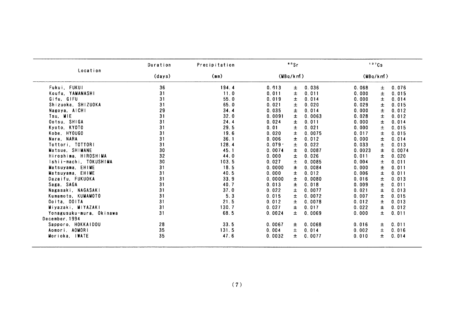|                          | Duration | Precipitation | 90Sr            |        |          | 137Cs |        |
|--------------------------|----------|---------------|-----------------|--------|----------|-------|--------|
| Location                 | (days)   | (mn)          | (MBq/km)        |        | (MBq/km) |       |        |
| Fukui, FUKUI             | 36       | 194.4         | 0.013<br>土      | 0.036  | 0.068    | 土     | 0.076  |
| Koufu, YAMANASHI         | 31       | 11.0          | 0.011<br>Ŧ      | 0.011  | 0.000    | 土     | 0.015  |
| Gifu, GIFU               | 31       | 55.0          | 0.019<br>Ŧ.     | 0.014  | 0.000    | 士     | 0.014  |
| Shizuoka, SHIZUOKA       | 31       | 65.0          | 0.021<br>土      | 0.020  | 0.029    | 士     | 0.015  |
| Nagoya, AICHI            | 29       | 34.4          | 0.035<br>士      | 0.014  | 0.000    | $\pm$ | 0.012  |
| Tsu, MIE                 | 31       | 32.0          | 0.0091<br>士     | 0.0063 | 0.028    | 士     | 0.012  |
| Ootsu, SHIGA             | 31       | 24.4          | 0.024<br>士      | 0.011  | 0.000    | $\pm$ | 0.014  |
| Kyoto, KYOTO             | 31       | 29.5          | 0.01<br>$\pm$   | 0.021  | 0.000    | 士     | 0.015  |
| Kobe, HYOUGO             | 31       | 19.6          | 0.020<br>Ŧ      | 0.0075 | 0.017    | 士     | 0.015  |
| Nara, NARA               | 31       | 36.1          | 0.006<br>Ŧ.     | 0.012  | 0.000    | 士     | 0.014  |
| Tottori, TOTTORI         | 31       | 128.4         | 0.079.<br>$\pm$ | 0.022  | 0.033    | $\pm$ | 0.013  |
| Matsue, SHIMANE          | 30       | 45.1          | 0.0074<br>士     | 0.0087 | 0.0023   | $\pm$ | 0.0074 |
| Hiroshima, HIROSHIMA     | 32       | 44.0          | 0.000<br>$\pm$  | 0.026  | 0.011    | $\pm$ | 0.020  |
| Ishii-machi, TOKUSHIMA   | 30       | 103.5         | 0.027<br>土      | 0.0085 | 0.004    | $\pm$ | 0.011  |
| Matsuyama, EHIME         | 31       | 18.5          | ±.<br>0.0000    | 0.0084 | 0.000    | 士     | 0.011  |
| Matsuyama, EHIME         | 31       | 40.5          | 0.000<br>士      | 0.012  | 0.006    | 士     | 0.011  |
| Dazaifu, FUKUOKA         | 31       | 33.9          | 0.0000<br>士     | 0.0080 | 0.016    | $\pm$ | 0.013  |
| Saga, SAGA               | 31       | 40.7          | 0.013<br>±.     | 0.018  | 0.009    | 士     | 0.011  |
| Nagasaki, NAGASAKI       | 31       | 37.0          | 0.022<br>士      | 0.0077 | 0.021    | 士     | 0.013  |
| Kumamoto, KUMAMOTO       | 31       | 5.3           | 0.015<br>士      | 0.0072 | 0.007    | 士     | 0.015  |
| Ooita, OOITA             | 31       | 21.5          | 0.012<br>士      | 0.0078 | 0.012    | 士     | 0.013  |
| Miyazaki, MIYAZAKI       | 31       | 130.7         | 0.027<br>Ŧ.     | 0.017  | 0.022    | 士     | 0.012  |
| Yonagusuku-mura, Okinawa | 31       | 68.5          | 0.0024<br>土     | 0.0069 | 0.000    | 土     | 0.011  |
| December, 1994           |          |               |                 |        |          |       |        |
| Sapporo, HOKKAIDOU       | 28       | 33.5          | 0.0067<br>$\pm$ | 0.0068 | 0.016    | 土     | 0.011  |
| Aomori, AOMORI           | 35       | 131.5         | 0.004<br>±.     | 0.014  | 0.002    | Ŧ.    | 0.016  |
| Morioka, IWATE           | 35       | 47.6          | 0.0032<br>士     | 0.0077 | 0.010    | 士     | 0.014  |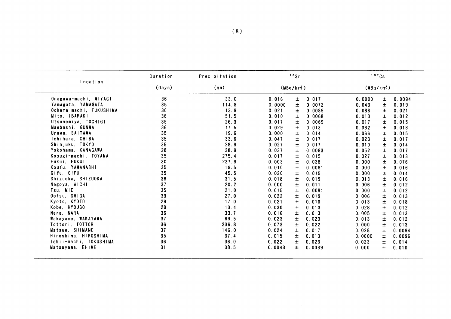| Location<br>(days)<br>(mm)<br>(MBq/km)<br>(MBq/km)<br>36<br>33.0<br>0.017<br>0.016<br>$\pm$<br>0.0000<br>士<br>35<br>114.8<br>0.0000<br>土<br>0.0072<br>0.043<br>土<br>36<br>13.9<br>0.021<br>±.<br>0.0089<br>0.088<br>Ŧ.<br>36<br>51.5<br>0.010<br>士<br>0.0068<br>0.013<br>Ŧ.<br>35<br>26.3<br>0.017<br>0.0069<br>0.017<br>士<br>Ŧ<br>36<br>17.5<br>0.029<br>0.013<br>0.032<br>土<br>Ŧ<br>35<br>19.6<br>0.000<br>$\pm$<br>0.014<br>0.066<br>士<br>35<br>33.6<br>0.047<br>0.017<br>土<br>0.023<br>士<br>35<br>28.9<br>0.027<br>$\pm$<br>士<br>0.017<br>0.010<br>28<br>28.9<br>0.037<br>0.0083<br>0.052<br>±.<br>土<br>35<br>275.4<br>0.017<br>0.015<br>0.027<br>$\pm$<br>土<br>30<br>237.9<br>0.003<br>0.038<br>0.000<br>Ŧ<br>Ŧ<br>35<br>19.5<br>0.010<br>Ŧ<br>0.0081<br>0.000<br>Ŧ.<br>45.5<br>35<br>0.020<br>0.015<br>0.000<br>$\pm$<br>土<br>0.014<br>36<br>31.5<br>0.018<br>Ŧ<br>0.019<br>0.013<br>±<br>37<br>20.2<br>0.000<br>0.011<br>0.006<br>$\pm$<br>士<br>35<br>21.0<br>0.015<br>0.0081<br>0.000<br>土<br>土<br>33<br>27.0<br>0.022<br>0.019<br>$\pm$<br>士<br>0.006<br>29<br>0.021<br>17.0<br>0.010<br>0.013<br>土<br>土<br>0.018<br>29<br>13.4<br>0.030<br>土<br>0.013<br>0.028<br>土<br>36<br>33.7<br>0.016<br>0.013<br>0.005<br>$\pm$<br>士<br>37<br>69.5<br>0.023<br>0.023<br>士<br>0.013<br>Ŧ<br>236.8<br>36<br>0.073<br>0.022<br>土<br>0.000<br>士<br>37<br>146.0<br>0.024<br>0.017<br>0.028<br>士<br>士<br>35<br>37.4<br>0.015<br>0.0000<br>土<br>0.013<br>Ŧ<br>36<br>36.0<br>0.022<br>Ŧ.<br>0.023<br>0.023<br>土<br>31<br>38.5<br>0.0043<br>0.0089<br>Ŧ<br>±.<br>0.000<br>0.010 | Onagawa-machi, MIYAGI<br>0.0094<br>Yamagata, YAMAGATA<br>0.019<br>Ookuma-machi, FUKUSHIMA<br>0.021<br>Mito, IBARAKI<br>0.012<br>Utsunomiya, TOCHIGI<br>0.015<br>Maebashi, GUNMA<br>0.018<br>Urawa, SAITAMA<br>0.015<br>Ichihara, CHIBA<br>0.017<br>Shinjuku, TOKYO<br>0.014<br>Yokohama, KANAGAWA<br>0.017<br>Kosugi-machi, TOYAMA<br>0.013<br>Fukui, FUKUI<br>0.076<br>Koufu, YAMANASHI<br>0.016<br>Gifu, GIFU<br>Shizuoka, SHIZUOKA<br>0.016<br>Nagoya, AICHI<br>0.012<br>Tsu, MIE<br>0.012<br>Ootsu, SHIGA<br>0.013<br>Kyoto, KYOTO<br>Kobe, HYOUGO<br>0.012<br>Nara, NARA<br>0.013<br>Wakayama, WAKAYAMA<br>0.012<br>Tottori, TOTTORI<br>0.013<br>Hiroshima, HIROSHIMA<br>Ishii-machi, TOKUSHIMA<br>0.014 |                  | Duration | Precipitation | 90Sr |  | 137Cs  |
|------------------------------------------------------------------------------------------------------------------------------------------------------------------------------------------------------------------------------------------------------------------------------------------------------------------------------------------------------------------------------------------------------------------------------------------------------------------------------------------------------------------------------------------------------------------------------------------------------------------------------------------------------------------------------------------------------------------------------------------------------------------------------------------------------------------------------------------------------------------------------------------------------------------------------------------------------------------------------------------------------------------------------------------------------------------------------------------------------------------------------------------------------------------------------------------------------------------------------------------------------------------------------------------------------------------------------------------------------------------------------------------------------------------------------------------------------------------------------------------------------------------------------------------------------------------------|---------------------------------------------------------------------------------------------------------------------------------------------------------------------------------------------------------------------------------------------------------------------------------------------------------------------------------------------------------------------------------------------------------------------------------------------------------------------------------------------------------------------------------------------------------------------------------------------------------------------------------------------------------------------------------------------------------------|------------------|----------|---------------|------|--|--------|
|                                                                                                                                                                                                                                                                                                                                                                                                                                                                                                                                                                                                                                                                                                                                                                                                                                                                                                                                                                                                                                                                                                                                                                                                                                                                                                                                                                                                                                                                                                                                                                        |                                                                                                                                                                                                                                                                                                                                                                                                                                                                                                                                                                                                                                                                                                               |                  |          |               |      |  |        |
|                                                                                                                                                                                                                                                                                                                                                                                                                                                                                                                                                                                                                                                                                                                                                                                                                                                                                                                                                                                                                                                                                                                                                                                                                                                                                                                                                                                                                                                                                                                                                                        |                                                                                                                                                                                                                                                                                                                                                                                                                                                                                                                                                                                                                                                                                                               |                  |          |               |      |  |        |
|                                                                                                                                                                                                                                                                                                                                                                                                                                                                                                                                                                                                                                                                                                                                                                                                                                                                                                                                                                                                                                                                                                                                                                                                                                                                                                                                                                                                                                                                                                                                                                        |                                                                                                                                                                                                                                                                                                                                                                                                                                                                                                                                                                                                                                                                                                               |                  |          |               |      |  |        |
|                                                                                                                                                                                                                                                                                                                                                                                                                                                                                                                                                                                                                                                                                                                                                                                                                                                                                                                                                                                                                                                                                                                                                                                                                                                                                                                                                                                                                                                                                                                                                                        |                                                                                                                                                                                                                                                                                                                                                                                                                                                                                                                                                                                                                                                                                                               |                  |          |               |      |  |        |
|                                                                                                                                                                                                                                                                                                                                                                                                                                                                                                                                                                                                                                                                                                                                                                                                                                                                                                                                                                                                                                                                                                                                                                                                                                                                                                                                                                                                                                                                                                                                                                        |                                                                                                                                                                                                                                                                                                                                                                                                                                                                                                                                                                                                                                                                                                               |                  |          |               |      |  |        |
|                                                                                                                                                                                                                                                                                                                                                                                                                                                                                                                                                                                                                                                                                                                                                                                                                                                                                                                                                                                                                                                                                                                                                                                                                                                                                                                                                                                                                                                                                                                                                                        |                                                                                                                                                                                                                                                                                                                                                                                                                                                                                                                                                                                                                                                                                                               |                  |          |               |      |  |        |
|                                                                                                                                                                                                                                                                                                                                                                                                                                                                                                                                                                                                                                                                                                                                                                                                                                                                                                                                                                                                                                                                                                                                                                                                                                                                                                                                                                                                                                                                                                                                                                        |                                                                                                                                                                                                                                                                                                                                                                                                                                                                                                                                                                                                                                                                                                               |                  |          |               |      |  |        |
|                                                                                                                                                                                                                                                                                                                                                                                                                                                                                                                                                                                                                                                                                                                                                                                                                                                                                                                                                                                                                                                                                                                                                                                                                                                                                                                                                                                                                                                                                                                                                                        |                                                                                                                                                                                                                                                                                                                                                                                                                                                                                                                                                                                                                                                                                                               |                  |          |               |      |  |        |
|                                                                                                                                                                                                                                                                                                                                                                                                                                                                                                                                                                                                                                                                                                                                                                                                                                                                                                                                                                                                                                                                                                                                                                                                                                                                                                                                                                                                                                                                                                                                                                        |                                                                                                                                                                                                                                                                                                                                                                                                                                                                                                                                                                                                                                                                                                               |                  |          |               |      |  |        |
|                                                                                                                                                                                                                                                                                                                                                                                                                                                                                                                                                                                                                                                                                                                                                                                                                                                                                                                                                                                                                                                                                                                                                                                                                                                                                                                                                                                                                                                                                                                                                                        |                                                                                                                                                                                                                                                                                                                                                                                                                                                                                                                                                                                                                                                                                                               |                  |          |               |      |  |        |
|                                                                                                                                                                                                                                                                                                                                                                                                                                                                                                                                                                                                                                                                                                                                                                                                                                                                                                                                                                                                                                                                                                                                                                                                                                                                                                                                                                                                                                                                                                                                                                        |                                                                                                                                                                                                                                                                                                                                                                                                                                                                                                                                                                                                                                                                                                               |                  |          |               |      |  |        |
|                                                                                                                                                                                                                                                                                                                                                                                                                                                                                                                                                                                                                                                                                                                                                                                                                                                                                                                                                                                                                                                                                                                                                                                                                                                                                                                                                                                                                                                                                                                                                                        |                                                                                                                                                                                                                                                                                                                                                                                                                                                                                                                                                                                                                                                                                                               |                  |          |               |      |  |        |
|                                                                                                                                                                                                                                                                                                                                                                                                                                                                                                                                                                                                                                                                                                                                                                                                                                                                                                                                                                                                                                                                                                                                                                                                                                                                                                                                                                                                                                                                                                                                                                        |                                                                                                                                                                                                                                                                                                                                                                                                                                                                                                                                                                                                                                                                                                               |                  |          |               |      |  |        |
|                                                                                                                                                                                                                                                                                                                                                                                                                                                                                                                                                                                                                                                                                                                                                                                                                                                                                                                                                                                                                                                                                                                                                                                                                                                                                                                                                                                                                                                                                                                                                                        |                                                                                                                                                                                                                                                                                                                                                                                                                                                                                                                                                                                                                                                                                                               |                  |          |               |      |  |        |
|                                                                                                                                                                                                                                                                                                                                                                                                                                                                                                                                                                                                                                                                                                                                                                                                                                                                                                                                                                                                                                                                                                                                                                                                                                                                                                                                                                                                                                                                                                                                                                        |                                                                                                                                                                                                                                                                                                                                                                                                                                                                                                                                                                                                                                                                                                               |                  |          |               |      |  |        |
|                                                                                                                                                                                                                                                                                                                                                                                                                                                                                                                                                                                                                                                                                                                                                                                                                                                                                                                                                                                                                                                                                                                                                                                                                                                                                                                                                                                                                                                                                                                                                                        |                                                                                                                                                                                                                                                                                                                                                                                                                                                                                                                                                                                                                                                                                                               |                  |          |               |      |  |        |
|                                                                                                                                                                                                                                                                                                                                                                                                                                                                                                                                                                                                                                                                                                                                                                                                                                                                                                                                                                                                                                                                                                                                                                                                                                                                                                                                                                                                                                                                                                                                                                        |                                                                                                                                                                                                                                                                                                                                                                                                                                                                                                                                                                                                                                                                                                               |                  |          |               |      |  |        |
|                                                                                                                                                                                                                                                                                                                                                                                                                                                                                                                                                                                                                                                                                                                                                                                                                                                                                                                                                                                                                                                                                                                                                                                                                                                                                                                                                                                                                                                                                                                                                                        |                                                                                                                                                                                                                                                                                                                                                                                                                                                                                                                                                                                                                                                                                                               |                  |          |               |      |  |        |
|                                                                                                                                                                                                                                                                                                                                                                                                                                                                                                                                                                                                                                                                                                                                                                                                                                                                                                                                                                                                                                                                                                                                                                                                                                                                                                                                                                                                                                                                                                                                                                        |                                                                                                                                                                                                                                                                                                                                                                                                                                                                                                                                                                                                                                                                                                               |                  |          |               |      |  |        |
|                                                                                                                                                                                                                                                                                                                                                                                                                                                                                                                                                                                                                                                                                                                                                                                                                                                                                                                                                                                                                                                                                                                                                                                                                                                                                                                                                                                                                                                                                                                                                                        |                                                                                                                                                                                                                                                                                                                                                                                                                                                                                                                                                                                                                                                                                                               |                  |          |               |      |  |        |
|                                                                                                                                                                                                                                                                                                                                                                                                                                                                                                                                                                                                                                                                                                                                                                                                                                                                                                                                                                                                                                                                                                                                                                                                                                                                                                                                                                                                                                                                                                                                                                        |                                                                                                                                                                                                                                                                                                                                                                                                                                                                                                                                                                                                                                                                                                               |                  |          |               |      |  |        |
|                                                                                                                                                                                                                                                                                                                                                                                                                                                                                                                                                                                                                                                                                                                                                                                                                                                                                                                                                                                                                                                                                                                                                                                                                                                                                                                                                                                                                                                                                                                                                                        |                                                                                                                                                                                                                                                                                                                                                                                                                                                                                                                                                                                                                                                                                                               |                  |          |               |      |  |        |
|                                                                                                                                                                                                                                                                                                                                                                                                                                                                                                                                                                                                                                                                                                                                                                                                                                                                                                                                                                                                                                                                                                                                                                                                                                                                                                                                                                                                                                                                                                                                                                        |                                                                                                                                                                                                                                                                                                                                                                                                                                                                                                                                                                                                                                                                                                               |                  |          |               |      |  |        |
|                                                                                                                                                                                                                                                                                                                                                                                                                                                                                                                                                                                                                                                                                                                                                                                                                                                                                                                                                                                                                                                                                                                                                                                                                                                                                                                                                                                                                                                                                                                                                                        |                                                                                                                                                                                                                                                                                                                                                                                                                                                                                                                                                                                                                                                                                                               |                  |          |               |      |  |        |
|                                                                                                                                                                                                                                                                                                                                                                                                                                                                                                                                                                                                                                                                                                                                                                                                                                                                                                                                                                                                                                                                                                                                                                                                                                                                                                                                                                                                                                                                                                                                                                        |                                                                                                                                                                                                                                                                                                                                                                                                                                                                                                                                                                                                                                                                                                               |                  |          |               |      |  |        |
|                                                                                                                                                                                                                                                                                                                                                                                                                                                                                                                                                                                                                                                                                                                                                                                                                                                                                                                                                                                                                                                                                                                                                                                                                                                                                                                                                                                                                                                                                                                                                                        |                                                                                                                                                                                                                                                                                                                                                                                                                                                                                                                                                                                                                                                                                                               | Matsue, SHIMANE  |          |               |      |  | 0.0094 |
|                                                                                                                                                                                                                                                                                                                                                                                                                                                                                                                                                                                                                                                                                                                                                                                                                                                                                                                                                                                                                                                                                                                                                                                                                                                                                                                                                                                                                                                                                                                                                                        |                                                                                                                                                                                                                                                                                                                                                                                                                                                                                                                                                                                                                                                                                                               |                  |          |               |      |  | 0.0096 |
|                                                                                                                                                                                                                                                                                                                                                                                                                                                                                                                                                                                                                                                                                                                                                                                                                                                                                                                                                                                                                                                                                                                                                                                                                                                                                                                                                                                                                                                                                                                                                                        |                                                                                                                                                                                                                                                                                                                                                                                                                                                                                                                                                                                                                                                                                                               |                  |          |               |      |  |        |
|                                                                                                                                                                                                                                                                                                                                                                                                                                                                                                                                                                                                                                                                                                                                                                                                                                                                                                                                                                                                                                                                                                                                                                                                                                                                                                                                                                                                                                                                                                                                                                        |                                                                                                                                                                                                                                                                                                                                                                                                                                                                                                                                                                                                                                                                                                               | Matsuyama, EHIME |          |               |      |  |        |
|                                                                                                                                                                                                                                                                                                                                                                                                                                                                                                                                                                                                                                                                                                                                                                                                                                                                                                                                                                                                                                                                                                                                                                                                                                                                                                                                                                                                                                                                                                                                                                        |                                                                                                                                                                                                                                                                                                                                                                                                                                                                                                                                                                                                                                                                                                               |                  |          |               |      |  |        |
|                                                                                                                                                                                                                                                                                                                                                                                                                                                                                                                                                                                                                                                                                                                                                                                                                                                                                                                                                                                                                                                                                                                                                                                                                                                                                                                                                                                                                                                                                                                                                                        |                                                                                                                                                                                                                                                                                                                                                                                                                                                                                                                                                                                                                                                                                                               |                  |          |               |      |  |        |
|                                                                                                                                                                                                                                                                                                                                                                                                                                                                                                                                                                                                                                                                                                                                                                                                                                                                                                                                                                                                                                                                                                                                                                                                                                                                                                                                                                                                                                                                                                                                                                        |                                                                                                                                                                                                                                                                                                                                                                                                                                                                                                                                                                                                                                                                                                               |                  |          |               |      |  |        |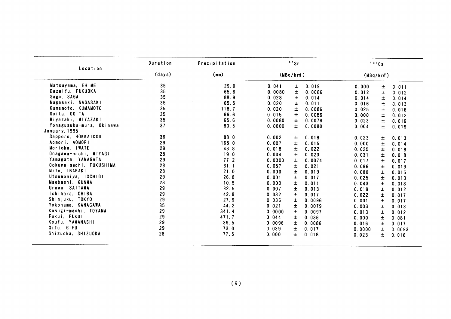| (days)<br>35<br>35<br>35<br>35<br>35<br>35<br>35<br>37<br>36<br>29<br>29<br>28<br>29<br>28 | (mn)<br>29.0<br>65.6<br>88.9<br>65.5<br>118.7<br>66.6<br>65.6<br>80.5<br>88.0<br>165.0<br>43.8<br>19.0<br>77.2<br>31.1 | 0.041<br>0.0080<br>0.028<br>0.020<br>0.020<br>0.015<br>0.0080<br>0.0000<br>0.002<br>0.007<br>0.018<br>0.004<br>0.0000 | (MBq/km)<br>Ŧ<br>$\pm$<br>Ŧ<br>士<br>土<br>Ŧ<br>$\pm$<br>$\pm$<br>士<br>$\pm$<br>Ŧ<br>士 | 0.019<br>0.0086<br>0.014<br>0.011<br>0.0086<br>0.0086<br>0.0076<br>0.0080<br>0.018<br>0.015<br>0.022<br>0.020 | (MBq/km)<br>0.000<br>0.012<br>0.014<br>0.016<br>0.025<br>0.000<br>0.023<br>0.004<br>0.023<br>0.000<br>0.025 | ±<br>Ŧ<br>Ŧ<br>$\pm$<br>土<br>Ŧ<br>$\pm$<br>$\pm$<br>±<br>$\pm$<br>Ŧ                     | 0.011<br>0.012<br>0.014<br>0.013<br>0.016<br>0.012<br>0.016<br>0.019<br>0.013<br>0.014<br>0.018 |
|--------------------------------------------------------------------------------------------|------------------------------------------------------------------------------------------------------------------------|-----------------------------------------------------------------------------------------------------------------------|--------------------------------------------------------------------------------------|---------------------------------------------------------------------------------------------------------------|-------------------------------------------------------------------------------------------------------------|-----------------------------------------------------------------------------------------|-------------------------------------------------------------------------------------------------|
|                                                                                            |                                                                                                                        |                                                                                                                       |                                                                                      |                                                                                                               |                                                                                                             |                                                                                         |                                                                                                 |
|                                                                                            |                                                                                                                        |                                                                                                                       |                                                                                      |                                                                                                               |                                                                                                             |                                                                                         |                                                                                                 |
|                                                                                            |                                                                                                                        |                                                                                                                       |                                                                                      |                                                                                                               |                                                                                                             |                                                                                         |                                                                                                 |
|                                                                                            |                                                                                                                        |                                                                                                                       |                                                                                      |                                                                                                               |                                                                                                             |                                                                                         |                                                                                                 |
|                                                                                            |                                                                                                                        |                                                                                                                       |                                                                                      |                                                                                                               |                                                                                                             |                                                                                         |                                                                                                 |
|                                                                                            |                                                                                                                        |                                                                                                                       |                                                                                      |                                                                                                               |                                                                                                             |                                                                                         |                                                                                                 |
|                                                                                            |                                                                                                                        |                                                                                                                       |                                                                                      |                                                                                                               |                                                                                                             |                                                                                         |                                                                                                 |
|                                                                                            |                                                                                                                        |                                                                                                                       |                                                                                      |                                                                                                               |                                                                                                             |                                                                                         |                                                                                                 |
|                                                                                            |                                                                                                                        |                                                                                                                       |                                                                                      |                                                                                                               |                                                                                                             |                                                                                         |                                                                                                 |
|                                                                                            |                                                                                                                        |                                                                                                                       |                                                                                      |                                                                                                               |                                                                                                             |                                                                                         |                                                                                                 |
|                                                                                            |                                                                                                                        |                                                                                                                       |                                                                                      |                                                                                                               |                                                                                                             |                                                                                         |                                                                                                 |
|                                                                                            |                                                                                                                        |                                                                                                                       |                                                                                      |                                                                                                               |                                                                                                             |                                                                                         |                                                                                                 |
|                                                                                            |                                                                                                                        |                                                                                                                       |                                                                                      |                                                                                                               |                                                                                                             |                                                                                         |                                                                                                 |
|                                                                                            |                                                                                                                        |                                                                                                                       |                                                                                      |                                                                                                               | 0.031                                                                                                       | Ŧ                                                                                       | 0.018                                                                                           |
|                                                                                            |                                                                                                                        |                                                                                                                       | $\pm$                                                                                | 0.0074                                                                                                        | 0.017                                                                                                       | $\pm$                                                                                   | 0.017                                                                                           |
|                                                                                            |                                                                                                                        | 0.057                                                                                                                 | Ŧ                                                                                    | 0.021                                                                                                         | 0.096                                                                                                       | Ŧ                                                                                       | 0.019                                                                                           |
| 28                                                                                         | 21.0                                                                                                                   | 0.000                                                                                                                 | 士                                                                                    | 0.019                                                                                                         | 0.000                                                                                                       | Ŧ                                                                                       | 0.015                                                                                           |
| 29                                                                                         | 26.8                                                                                                                   | 0.001                                                                                                                 | $\pm$                                                                                | 0.017                                                                                                         | 0.025                                                                                                       | $\pm$                                                                                   | 0.013                                                                                           |
| 28                                                                                         | 10.5                                                                                                                   | 0.000                                                                                                                 | 士                                                                                    | 0.011                                                                                                         |                                                                                                             |                                                                                         | 0.018                                                                                           |
| 29                                                                                         |                                                                                                                        |                                                                                                                       |                                                                                      |                                                                                                               |                                                                                                             |                                                                                         | 0.012                                                                                           |
|                                                                                            |                                                                                                                        |                                                                                                                       |                                                                                      |                                                                                                               |                                                                                                             |                                                                                         | 0.017                                                                                           |
|                                                                                            |                                                                                                                        |                                                                                                                       |                                                                                      |                                                                                                               |                                                                                                             |                                                                                         | 0.017                                                                                           |
|                                                                                            |                                                                                                                        |                                                                                                                       |                                                                                      |                                                                                                               |                                                                                                             |                                                                                         | 0.013                                                                                           |
|                                                                                            |                                                                                                                        |                                                                                                                       |                                                                                      |                                                                                                               |                                                                                                             |                                                                                         | 0.012                                                                                           |
| 29                                                                                         |                                                                                                                        |                                                                                                                       |                                                                                      |                                                                                                               |                                                                                                             |                                                                                         | 0.081                                                                                           |
|                                                                                            |                                                                                                                        |                                                                                                                       |                                                                                      |                                                                                                               |                                                                                                             |                                                                                         | 0.017                                                                                           |
|                                                                                            |                                                                                                                        |                                                                                                                       |                                                                                      |                                                                                                               |                                                                                                             |                                                                                         | 0.0093                                                                                          |
| 28                                                                                         |                                                                                                                        |                                                                                                                       |                                                                                      |                                                                                                               |                                                                                                             |                                                                                         |                                                                                                 |
|                                                                                            |                                                                                                                        |                                                                                                                       |                                                                                      |                                                                                                               |                                                                                                             | $\pm$                                                                                   | 0.016                                                                                           |
|                                                                                            | (9)                                                                                                                    |                                                                                                                       |                                                                                      |                                                                                                               |                                                                                                             |                                                                                         |                                                                                                 |
|                                                                                            | 29<br>29<br>35<br>29<br>29<br>29                                                                                       | 32.5<br>42.8<br>27.9<br>44.2<br>341.4<br>471.7<br>39.5<br>73.0<br>77.5                                                | 0.007<br>0.032<br>0.036<br>0.021<br>0.0000<br>0.044<br>0.0096<br>0.039<br>0.000      | Ŧ<br>$\pm$<br>Ŧ.<br>士<br>土<br>士<br>Ŧ<br>士<br>$\pm$                                                            | 0.013<br>0.017<br>0.0096<br>0.0079<br>0.0097<br>0.036<br>0.0086<br>0.017<br>0.018                           | 0.043<br>0.019<br>0.022<br>0.001<br>0.003<br>0.013<br>0.000<br>0.016<br>0.0000<br>0.023 | Ŧ.<br>Ŧ.<br>$\pm$<br>$\pm$<br>土<br>土<br>Ŧ<br>Ŧ.<br>$\pm$                                        |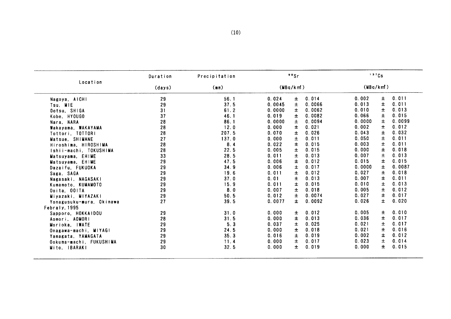|                          | Duration | Precipitation |          | 90Sr  |        | 137Cs    |       |        |
|--------------------------|----------|---------------|----------|-------|--------|----------|-------|--------|
| Location                 | (days)   | (mm)          | (MBq/km) |       |        | (MBq/km) |       |        |
| Nagoya, AICHI            | 29       | 56.1          | 0.024    | 士     | 0.014  | 0.002    | 士     | 0.011  |
| Tsu. MIE                 | 29       | 37.5          | 0.0045   | 士     | 0.0066 | 0.013    | 士     | 0.011  |
| Ootsu, SHIGA             | 31       | 61.2          | 0.0000   | 士     | 0.0062 | 0.010    | 士     | 0.013  |
| Kobe, HYOUGO             | 37       | 46.1          | 0.019    | $\pm$ | 0.0082 | 0.066    | Ŧ     | 0.015  |
| Nara, NARA               | 28       | 86.1          | 0.0000   | $\pm$ | 0.0094 | 0.0000   | 土     | 0.0099 |
| Wakayama, WAKAYAMA       | 28       | 12.0          | 0.000    | 士     | 0.021  | 0.002    | ±.    | 0.012  |
| Tottori, TOTTORI         | 28       | 207.5         | 0.070    | 士     | 0.026  | 0.043    | ±.    | 0.032  |
| Matsue. SHIMANE          | 27       | 137.0         | 0.000    | 土     | 0.011  | 0.050    | 士     | 0.011  |
| Hiroshima, HIROSHIMA     | 28       | 8.4           | 0.022    | $\pm$ | 0.015  | 0.003    | Ŧ.    | 0.011  |
| Ishii-machi, TOKUSHIMA   | 28       | 22.5          | 0.005    | 士     | 0.015  | 0.000    | 士     | 0.018  |
| Matsuyama, EHIME         | 33       | 28.5          | 0.011    | 士     | 0.013  | 0.007    | 士     | 0.013  |
| Matsuyama, EHIME         | 29       | 47.5          | 0.006    | 士     | 0.012  | 0.015    | 士     | 0.015  |
| Dazaifu, FUKUOKA         | 29       | 34.9          | 0.006    | 士     | 0.017  | 0.0000   | ±.    | 0.0087 |
| Saga, SAGA               | 29       | 19.6          | 0.011    | $\pm$ | 0.012  | 0.027    | 士     | 0.018  |
| Nagasaki, NAGASAKI       | 29       | 37.0          | 0.01     | 士     | 0.013  | 0.007    | ±.    | 0.011  |
| Kumamoto, KUMAMOTO       | 29       | 15.9          | 0.011    | 士     | 0.015  | 0.010    | 士     | 0.013  |
| Ooita, OOITA             | 29       | 8.0           | 0.007    | $\pm$ | 0.018  | 0.005    | $\pm$ | 0.012  |
| Miyazaki, MIYAZAKI       | 29       | 50.5          | 0.012    | 士     | 0.0074 | 0.027    | Ŧ.    | 0.017  |
| Yonagusuku-mura, Okinawa | 27       | 39.5          | 0.0077   | ±.    | 0.0092 | 0.026    | 士     | 0.020  |
| Febraly, 1995            |          |               |          |       |        |          |       |        |
| Sapporo, HOKKAIDOU       | 29       | 31.0          | 0.000    | 士     | 0.012  | 0.005    | ±.    | 0.010  |
| Aomori, AOMORI           | 28       | 31.5          | 0.000    | 士     | 0.013  | 0.036    | Ŧ.    | 0.017  |
| Morioka. IWATE           | 29       | 5.3           | 0.037    | 士     | 0.025  | 0.021    | 士     | 0.017  |
| Onagawa-machi, MIYAGI    | 29       | 24.5          | 0.000    | 士     | 0.018  | 0.021    | ±.    | 0.016  |
| Yamagata, YAMAGATA       | 29       | 35.3          | 0.016    | ±.    | 0.019  | 0.002    | ±.    | 0.012  |
| Ookuma-machi, FUKUSHIMA  | 29       | 11.4          | 0.000    | $\pm$ | 0.017  | 0.023    | 士     | 0.014  |
| Mito, IBARAKI            | 30       | 32.5          | 0.000    | ±.    | 0.019  | 0.000    | ±.    | 0.015  |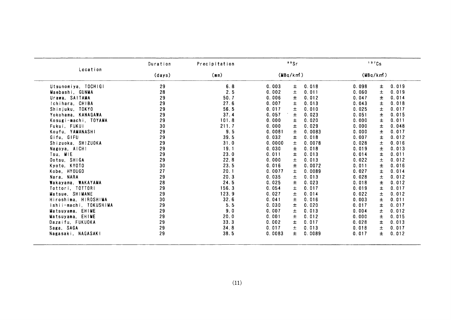|                        | Duration | Precipitation |        | 90Sr     |        |       | 137Cs    |       |
|------------------------|----------|---------------|--------|----------|--------|-------|----------|-------|
| Location               | (days)   | (mn)          |        | (MBq/km) |        |       | (MBq/km) |       |
| Utsunomiya, TOCHIGI    | 29       | 6.8           | 0.003  | Ŧ.       | 0.018  | 0.098 | 士        | 0.019 |
| Maebashi, GUNMA        | 28       | 2.5           | 0.002  | $\pm$    | 0.011  | 0.060 | 士        | 0.019 |
| Urawa, SAITAMA         | 29       | 50.7          | 0.006  | Ŧ        | 0.012  | 0.047 | 士        | 0.014 |
| Ichihara, CHIBA        | 29       | 27.6          | 0.007  | Ŧ        | 0.013  | 0.043 | 士        | 0.018 |
| Shinjuku, TOKYO        | 29       | 56.5          | 0.017  | 土        | 0.010  | 0.025 | 士        | 0.017 |
| Yokohama. KANAGAWA     | 29       | 37.4          | 0.057  | 士        | 0.023  | 0.051 | 士        | 0.015 |
| Kosugi-machi, TOYAMA   | 29       | 101.8         | 0.000  | ±        | 0.020  | 0.000 | 士        | 0.011 |
| Fukui, FUKUI           | 30       | 211.7         | 0.000  | 土        | 0.029  | 0.000 | 士        | 0.048 |
| Koufu. YAMANASHI       | 29       | 9.5           | 0.0081 | $\pm$    | 0.0083 | 0.000 | $\pm$    | 0.017 |
| Gifu, GIFU             | 29       | 39.5          | 0.032  | 土        | 0.018  | 0.007 | 士        | 0.012 |
| Shizuoka, SHIZUOKA     | 29       | 31.0          | 0.0000 | 士        | 0.0078 | 0.028 | $\pm$    | 0.016 |
| Nagoya, AICHI          | 29       | 19.1          | 0.030  | $\pm$    | 0.018  | 0.019 | 士        | 0.013 |
| Tsu, MIE               | 29       | 23.0          | 0.011  | 土        | 0.013  | 0.014 | 士        | 0.011 |
| Ootsu, SHIGA           | 29       | 22.8          | 0.000  | 土        | 0.013  | 0.022 | 士        | 0.012 |
| Kyoto, KYOTO           | 30       | 23.5          | 0.016  | 士        | 0.0072 | 0.011 | 士        | 0.016 |
| Kobe, HYOUGO           | 27       | 20.1          | 0.0077 | 士        | 0.0089 | 0.027 | 士        | 0.014 |
| Nara, NARA             | 29       | 20.3          | 0.035  | 土        | 0.013  | 0.028 | 士        | 0.012 |
| Wakayama, WAKAYAMA     | 28       | 24.5          | 0.025  | 士        | 0.023  | 0.018 | 士        | 0.012 |
| Tottori, TOTTORI       | 29       | 156.3         | 0.054  | $\pm$    | 0.017  | 0.019 | $\pm$    | 0.017 |
| Matsue. SHIMANE        | 29       | 123.9         | 0.027  | $\pm$    | 0.014  | 0.022 | 士        | 0.012 |
| Hiroshima, HIROSHIMA   | 30       | 32.6          | 0.041  | 士        | 0.016  | 0.003 | 士        | 0.011 |
| ishii-machi, TOKUSHIMA | 29       | 5.5           | 0.030  | 士        | 0.020  | 0.017 | Ŧ        | 0.017 |
| Matsuyama, EHIME       | 29       | 9.0           | 0.007  | 土        | 0.013  | 0.004 | 士        | 0.012 |
| Matsuyama, EHIME       | 29       | 20.0          | 0.001  | 士        | 0.012  | 0.000 | 士        | 0.015 |
| Dazaifu, FUKUOKA       | 29       | 33.3          | 0.002  | 士        | 0.017  | 0.028 | $\pm$    | 0.013 |
| Saga, SAGA             | 29       | 34.8          | 0.017  | $\pm$    | 0.013  | 0.018 | 士        | 0.017 |
| Nagasaki, NAGASAKI     | 29       | 38.5          | 0.0083 | 土        | 0.0089 | 0.017 | $\pm$    | 0.012 |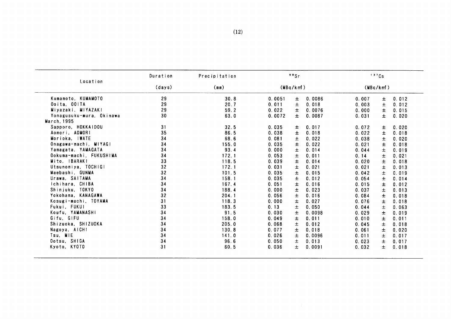| Location<br>Kumamoto, KUMAMOTO<br>Ooita, OOITA<br>Miyazaki, MIYAZAKI<br>Yonagusuku-mura, Okinawa<br>March, 1995<br>Sapporo, HOKKAIDOU<br>Aomori, AOMORI | (days)<br>29<br>29<br>29<br>30<br>31 | (mn)<br>30.8<br>20.7<br>59.2<br>63.0 | (MBq/km)<br>0.0051<br>0.011<br>0.022<br>0.0072 | 0.0086<br>士<br>0.018<br>$\pm$<br>Ŧ<br>0.0076 | 0.007<br>0.003<br>0.000 | (MBq/km)<br>0.012<br>Ŧ.<br>$\pm$<br>0.012 |
|---------------------------------------------------------------------------------------------------------------------------------------------------------|--------------------------------------|--------------------------------------|------------------------------------------------|----------------------------------------------|-------------------------|-------------------------------------------|
|                                                                                                                                                         |                                      |                                      |                                                |                                              |                         |                                           |
|                                                                                                                                                         |                                      |                                      |                                                |                                              |                         |                                           |
|                                                                                                                                                         |                                      |                                      |                                                |                                              |                         |                                           |
|                                                                                                                                                         |                                      |                                      |                                                |                                              |                         | 土<br>0.015                                |
|                                                                                                                                                         |                                      |                                      |                                                | $\pm$<br>0.0087                              | 0.031                   | $\pm$<br>0.020                            |
|                                                                                                                                                         |                                      |                                      |                                                |                                              |                         |                                           |
|                                                                                                                                                         |                                      | 32.5                                 | 0.035                                          | 0.017<br>±.                                  | 0.072                   | 0.020<br>±.                               |
|                                                                                                                                                         | 35                                   | 86.5                                 | 0.038                                          | Ŧ<br>0.018                                   | 0.022                   | Ŧ<br>0.018                                |
| Morioka, IWATE                                                                                                                                          | 34                                   | 68.6                                 | 0.081                                          | $\pm$<br>0.022                               | 0.038                   | $\pm$<br>0.020                            |
| Onagawa-machi, MIYAGI                                                                                                                                   | 34                                   | 155.0                                | 0.035                                          | 士<br>0.022                                   | 0.021                   | Ŧ<br>0.018                                |
| Yamagata, YAMAGATA                                                                                                                                      | 34                                   | 93.4                                 | 0.000                                          | $\pm$<br>0.014                               | 0.044                   | $\pm$<br>0.019                            |
| Ookuma-machi, FUKUSHIMA                                                                                                                                 | 34                                   | 172.1                                | 0.053                                          | $\pm$<br>0.011                               | 0.14                    | 土<br>0.021                                |
| Mito, IBARAKI                                                                                                                                           | 33                                   | 118.5                                | 0.039                                          | ±<br>0.014                                   | 0.020                   | Ŧ.<br>0.018                               |
| Utsunomiya, TOCHIGI                                                                                                                                     | 32                                   | 172.1                                | 0.031                                          | 0.021<br>士                                   | 0.021                   | Ŧ<br>0.013                                |
| Maebashi, GUNMA                                                                                                                                         | 32                                   | 101.5                                | 0.035                                          | 0.015<br>土                                   | 0.042                   | $\pm$<br>0.019                            |
| Urawa, SAITAMA                                                                                                                                          | 34                                   | 158.1                                | 0.035                                          | 土<br>0.012                                   | 0.054                   | Ŧ.<br>0.014                               |
| Ichihara, CHIBA                                                                                                                                         | 34                                   | 167.4                                | 0.051                                          | 0.016<br>士                                   | 0.015                   | $\pm$<br>0.012                            |
| Shinjuku, TOKYO                                                                                                                                         | 34                                   | 188.4                                | 0.000                                          | $\pm$<br>0.023                               | 0.037                   | $\pm$<br>0.013                            |
| Yokohama, KANAGAWA                                                                                                                                      | 32                                   | 204.1                                | 0.056                                          | 土<br>0.016                                   | 0.084                   | $\pm$<br>0.018                            |
| Kosugi-machi, TOYAMA                                                                                                                                    | 31                                   | 118.3                                | 0.000                                          | $\pm$<br>0.027                               | 0.076                   | $\pm$<br>0.018                            |
| Fukui, FUKUI                                                                                                                                            | 33                                   | 183.5                                | 0.13                                           | $\pm$<br>0.050                               | 0.044                   |                                           |
| Koufu, YAMANASHI                                                                                                                                        | 34                                   | 91.5                                 | 0.030                                          | 0.0098                                       |                         | 土<br>0.063                                |
| Gifu, GIFU                                                                                                                                              | 34                                   | 158.0                                |                                                | Ŧ                                            | 0.029                   | $\pm$<br>0.019                            |
|                                                                                                                                                         |                                      |                                      | 0.049                                          | $\pm$<br>0.011                               | 0.010                   | 0.011<br>Ŧ.                               |
| Shizuoka, SHIZUOKA                                                                                                                                      | 34                                   | 205.0                                | 0.068                                          | 0.012<br>土                                   | 0.045                   | 0.018<br>土                                |
| Nagoya, AICHI                                                                                                                                           | 34                                   | 130.8                                | 0.077                                          | 0.018<br>土                                   | 0.061                   | $\pm$<br>0.020                            |
| Tsu, MIE                                                                                                                                                | 34                                   | 141.0                                | 0.026                                          | 0.0096<br>土                                  | 0.011                   | Ŧ.<br>0.017                               |
|                                                                                                                                                         |                                      |                                      |                                                |                                              |                         | 0.017                                     |
|                                                                                                                                                         |                                      |                                      |                                                |                                              |                         | 0.018                                     |
| Ootsu, SHIGA<br>Kyoto, KYOTO                                                                                                                            | 34<br>31                             | 96.6<br>60.5                         | 0.050<br>0.036                                 | 0.013<br>$\pm$<br>土<br>0.0091                | 0.023<br>0.032          | $\pm$<br>Ŧ.                               |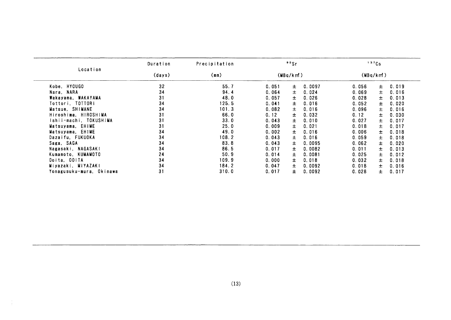|                          | Duration | Precipitation | 90Sr                     | 137Cs                   |
|--------------------------|----------|---------------|--------------------------|-------------------------|
| Location                 | (days)   | (mm)          | (MBq/km)                 | (MBq/km)                |
| Kobe, HYOUGO             | 32       | 55.7          | 0.051<br>0.0097<br>土     | 0.019<br>0.056<br>±.    |
| Nara, NARA               | 34       | 94.4          | 0.024<br>0.064<br>土      | 士<br>0.069<br>0.016     |
| Wakayama, WAKAYAMA       | 31       | 48.0          | $\pm$<br>0.026<br>0.057  | 0.028<br>士<br>0.013     |
| Tottori, TOTTORI         | 34       | 125.5         | 0.041<br>$\pm$<br>0.016  | 0.052<br>0.020<br>士     |
| Matsue, SHIMANE          | 34       | 101.3         | $\pm$<br>0.016<br>0.082  | 0.096<br>士<br>0.016     |
| Hiroshima, HIROSHIMA     | 31       | 66.0          | $\pm$<br>0.12<br>0.032   | 0.12<br>0.030<br>士      |
| Ishii-machi, TOKUSHIMA   | 31       | 33.0          | 0.010<br>0.043<br>士      | 0.027<br>0.017<br>土     |
| Matsuyama, EHIME         | 31       | 25.0          | $\pm$<br>0.009<br>0.021  | 0.018<br>0.017<br>士     |
| Matsuyama, EHIME         | 34       | 49.0          | 0.002<br>0.016<br>土      | 0.006<br>0.018<br>士     |
| Dazaifu, FUKUOKA         | 34       | 108.2         | 0.043<br>0.016<br>Ŧ.     | 0.059<br>$\pm$<br>0.018 |
| Saga, SAGA               | 34       | 83.8          | 0.043<br>士<br>0.0095     | 0.062<br>0.020<br>士     |
| Nagasaki, NAGASAKI       | 34       | 86.5          | 0.017<br>0.0082<br>士     | 0.011<br>士<br>0.013     |
| Kumamoto, KUMAMOTO       | 24       | 50.9          | 0.014<br>0.0081<br>士     | 0.025<br>0.012<br>士     |
| Ooita, OOITA             | 34       | 109.9         | 0.018<br>0.000<br>士      | 0.032<br>$\pm$<br>0.018 |
| Miyazaki, MIYAZAKI       | 34       | 184.2         | 0.047<br>$\pm$<br>0.0092 | 0.018<br>$\pm$<br>0.016 |
| Yonagusuku-mura, Okinawa | 31       | 310.0         | 0.017<br>$\pm$<br>0.0092 | 0.028<br>±.<br>0.017    |
|                          |          |               |                          |                         |
|                          |          |               |                          |                         |
|                          |          |               |                          |                         |
|                          |          |               |                          |                         |
|                          |          |               |                          |                         |
|                          |          |               |                          |                         |

 $\frac{1}{4}$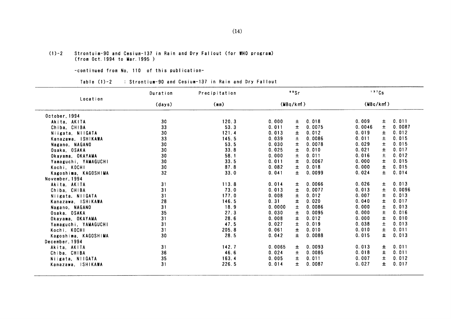#### $(1)-2$  Strontuim-90 and Cesium-137 in Rain and Dry Fallout (for WHO program) (from Oct. 1994 to Mar. 1995)

-COntinued from No.110 0f this publication-

Table (1)-2 : Strontium-90 and Cesium-137 in Rain and Dry Fallout

|                      | Duration | Precipitation |        | 90Sr     |        |           | 137Cs |        |
|----------------------|----------|---------------|--------|----------|--------|-----------|-------|--------|
| Location             | (days)   | (mn)          |        | (MBq/km) |        | (MBq/km!) |       |        |
| October, 1994        |          |               |        |          |        |           |       |        |
| Akita, AKITA         | 30       | 120.3         | 0.000  | 士        | 0.018  | 0.009     | 土     | 0.011  |
| Chiba, CHIBA         | 33       | 53.3          | 0.011  | 士        | 0.0075 | 0.0046    | $\pm$ | 0.0087 |
| Niigata, NIIGATA     | 30       | 121.4         | 0.013  | 士        | 0.012  | 0.019     | Ŧ     | 0.012  |
| Kanazawa, ISHIKAWA   | 33       | 145.5         | 0.039  | 土        | 0.0086 | 0.011     | 土     | 0.015  |
| Nagano, NAGANO       | 30       | 53.5          | 0.030  | $\pm$    | 0.0078 | 0.029     | $\pm$ | 0.015  |
| Osaka, OSAKA         | 30       | 33.8          | 0.025  | $\pm$    | 0.010  | 0.021     | Ŧ.    | 0.017  |
| Okayama, OKAYAMA     | 30       | 58.1          | 0.000  | 士        | 0.011  | 0.016     | 士     | 0.012  |
| Yamaguchi, YAMAGUCHI | 30       | 33.5          | 0.011  | $\pm$    | 0.0067 | 0.000     | 土     | 0.015  |
| Kochi, KOCHI         | 30       | 87.8          | 0.082  | $\pm$    | 0.018  | 0.000     | Ŧ.    | 0.015  |
| Kagoshima, KAGOSHIMA | 32       | 33.0          | 0.041  | 土        | 0.0099 | 0.024     | $\pm$ | 0.014  |
| November, 1994       |          |               |        |          |        |           |       |        |
| Akita, AKITA         | 31       | 113.8         | 0.014  | 士        | 0.0066 | 0.026     | Ŧ.    | 0.013  |
| Chiba, CHIBA         | 31       | 73.0          | 0.013  | $\pm$    | 0.0077 | 0.013     | $\pm$ | 0.0096 |
| Niigata, NIIGATA     | 31       | 177.0         | 0.008  | 士        | 0.012  | 0.007     | 士     | 0.013  |
| Kanazawa, ISHIKAWA   | 28       | 146.5         | 0.31   | $\pm$    | 0.020  | 0.040     | Ŧ     | 0.017  |
| Nagano, NAGANO       | 31       | 18.9          | 0.0000 | $\pm$    | 0.0086 | 0.000     | 土     | 0.013  |
| Osaka, OSAKA         | 35       | 27.3          | 0.030  | $\pm$    | 0.0095 | 0.000     | $\pm$ | 0.016  |
| Okayama. OKAYAMA     | 31       | 28.6          | 0.008  | 士        | 0.012  | 0.000     | 士     | 0.010  |
| Yamaguchi, YAMAGUCHI | 31       | 47.5          | 0.027  | 士        | 0.019  | 0.038     | 士     | 0.013  |
| Kochi, KOCHI         | 31       | 205.8         | 0.061  | $\pm$    | 0.010  | 0.010     | $\pm$ | 0.011  |
| Kagoshima, KAGOSHIMA | 30       | 28.5          | 0.042  | Ŧ.       | 0.0088 | 0.015     | Ŧ.    | 0.013  |
| December, 1994       |          |               |        |          |        |           |       |        |
| Akita, AKITA         | 31       | 142.7         | 0.0065 | 士        | 0.0093 | 0.013     | ±.    | 0.011  |
| Chiba, CHIBA         | 36       | 46.6          | 0.024  | 土        | 0.0085 | 0.018     | ±.    | 0.011  |
| Niigata, NilGATA     | 35       | 163.4         | 0.005  | 土        | 0.011  | 0.007     | Ŧ.    | 0.012  |
| Kanazawa, ISHIKAWA   | 31       | 226.5         | 0.014  | 士        | 0.0087 | 0.027     | 士     | 0.017  |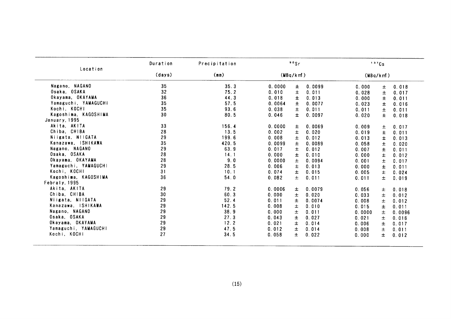| Location             | Duration | Precipitation |        | 90Sr     |        |          | 137Cs |        |
|----------------------|----------|---------------|--------|----------|--------|----------|-------|--------|
|                      | (days)   | (mm)          |        | (MBq/km) |        | (MBq/km) |       |        |
| Nagano, NAGANO       | 35       | 35.3          | 0.0000 | ±.       | 0.0099 | 0.000    | 士     | 0.018  |
| Osaka, OSAKA         | 32       | 75.2          | 0.010  | $\pm$    | 0.011  | 0.028    | 土     | 0.017  |
| Okayama, OKAYAMA     | 36       | 44.3          | 0.018  | ±.       | 0.013  | 0.000    | Ŧ.    | 0.011  |
| Yamaguchi, YAMAGUCHI | 35       | 57.5          | 0.0064 | 士        | 0.0077 | 0.023    | $\pm$ | 0.016  |
| Kochi, KOCHI         | 35       | 93.6          | 0.038  | $\pm$    | 0.011  | 0.011    | 土     | 0.011  |
| Kagoshima, KAGOSHIMA | 30       | 80.5          | 0.046  | $\pm$    | 0.0097 | 0.020    | ±.    | 0.018  |
| January, 1995        |          |               |        |          |        |          |       |        |
| Akita, AKITA         | 33       | 156.4         | 0.0000 | ±.       | 0.0069 | 0.009    | 土     | 0.017  |
| Chiba, CHIBA         | 28       | 13.5          | 0.002  | 士        | 0.020  | 0.019    | $\pm$ | 0.011  |
| Niigata, NIIGATA     | 29       | 199.6         | 0.008  | 土        | 0.012  | 0.013    | $\pm$ | 0.013  |
| Kanazawa, ISHIKAWA   | 35       | 420.5         | 0.0099 | 士        | 0.0089 | 0.058    | ±.    | 0.020  |
| Nagano, NAGANO       | 29       | 63.9          | 0.017  | 士        | 0.012  | 0.007    | ±.    | 0.011  |
| Osaka, OSAKA         | 28       | 14.1          | 0.000  | 士        | 0.010  | 0.000    | 士     | 0.012  |
| Okayama, OKAYAMA     | 28       | 9.0           | 0.0000 | 土        | 0.0094 | 0.001    | 士     | 0.017  |
| Yamaguchi, YAMAGUCHI | 29       | 28.5          | 0.006  | 士        | 0.013  | 0.000    | $\pm$ | 0.011  |
| Kochi, KOCHI         | 31       | 10.1          | 0.074  | Ŧ        | 0.015  | 0.005    | ±.    | 0.024  |
| Kagoshima, KAGOSHIMA | 36       | 54.0          | 0.082  | 士        | 0.011  | 0.011    | 土     | 0.019  |
| Febraly, 1995        |          |               |        |          |        |          |       |        |
| Akita, AKITA         | 29       | 79.2          | 0.0006 | Ŧ.       | 0.0079 | 0.056    | ±.    | 0.018  |
| Chiba, CHIBA         | 30       | 60.3          | 0.000  | ±        | 0.020  | 0.033    | 土     | 0.012  |
| Niigata, NIIGATA     | 29       | 52.4          | 0.011  | Ŧ        | 0.0074 | 0.008    | Ŧ     | 0.012  |
| Kanazawa, ISHIKAWA   | 29       | 142.5         | 0.008  | $\pm$    | 0.010  | 0.015    | $\pm$ | 0.011  |
| Nagano, NAGANO       | 29       | 38.9          | 0.000  | 土        | 0.011  | 0.0000   | 士     | 0.0096 |
| Osaka, OSAKA         | 29       | 27.3          | 0.043  | 土        | 0.027  | 0.021    | 士     | 0.016  |
| Okayama, OKAYAMA     | 29       | 12.2          | 0.021  | 土        | 0.014  | 0.006    | 士     | 0.017  |
| Yamaguchi, YAMAGUCHI | 29       | 47.5          | 0.012  | 土        | 0.014  | 0.008    | 士     | 0.011  |
| Kochi, KOCHI         | 27       | 34.5          | 0.058  | 士        | 0.022  | 0.000    | $\pm$ | 0.012  |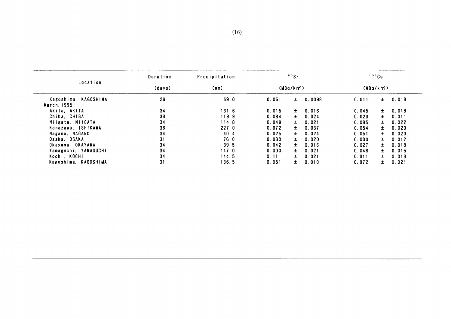|                      | Duration | Precipitation | 90Sr<br>(MBq/km) |       | 137Cs  |          |       |       |
|----------------------|----------|---------------|------------------|-------|--------|----------|-------|-------|
| Location             | (days)   | (mm)          |                  |       |        | (MBq/km) |       |       |
| Kagoshima, KAGOSHIMA | 29       | 59.0          | 0.051            | $\pm$ | 0.0098 | 0.011    | $\pm$ | 0.018 |
| March, 1995          |          |               |                  |       |        |          |       |       |
| Akita, AKITA         | 34       | 131.6         | 0.015            | 土     | 0.016  | 0.045    | $\pm$ | 0.018 |
| Chiba, CHIBA         | 33       | 119.9         | 0.034            | 士。    | 0.024  | 0.023    | $\pm$ | 0.011 |
| Niigata, NiiGATA     | 34       | 114.8         | 0.049            | 土     | 0.021  | 0.085    | $\pm$ | 0.022 |
| Kanazawa, ISHIKAWA   | 36       | 227.0         | 0.072            | ±.    | 0.037  | 0.054    | $\pm$ | 0.020 |
| Nagano, NAGANO       | 34       | 40.4          | 0.025            | $\pm$ | 0.024  | 0.051    | $\pm$ | 0.020 |
| Osaka, OSAKA         | 31       | 76.0          | 0.030            | $\pm$ | 0.020  | 0.000    | $\pm$ | 0.012 |
| Okayama, OKAYAMA     | 34       | 39.5          | 0.042            | 士     | 0.016  | 0.027    | ±.    | 0.018 |
| Yamaguchi, YAMAGUCHI | 34       | 147.0         | 0.000            | $\pm$ | 0.021  | 0.048    | $\pm$ | 0.015 |
| Kochi, KOCHI         | 34       | 144.5         | 0.11             | 土     | 0.021  | 0.011    | $\pm$ | 0.018 |
| Kagoshima, KAGOSHIMA | 31       | 136.5         | 0.051            | ±.    | 0.010  | 0.072    | $\pm$ | 0.021 |

 $\mathcal{L}^{\text{max}}$  and  $\mathcal{L}^{\text{max}}$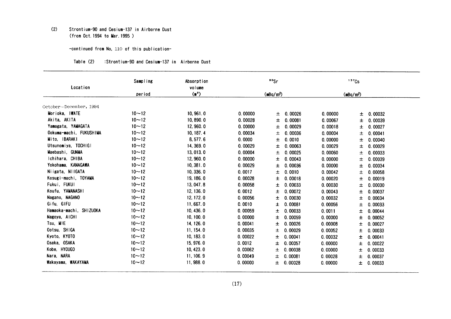#### $(2)$ Strontium-90 and Cesium-137 in Airborne Dust (from Oct. 1994 to Mar. 1995)

## -continued from No. 110 of this publication-

| Location                | Sampling<br>Absorption<br>volume |            |         | ${}^{90}$ Sr          |         | 137Cs         |
|-------------------------|----------------------------------|------------|---------|-----------------------|---------|---------------|
|                         | period                           | $(n^2)$    |         | (mBq/m <sup>3</sup> ) |         | $(mBq/m^3)$   |
|                         |                                  |            |         |                       |         |               |
| October~December, 1994  |                                  |            |         |                       |         |               |
| Morioka, IWATE          | $10 - 12$                        | 10, 961.0  | 0.00000 | 0.00026<br>士          | 0.00000 | 0.00032<br>±. |
| Akita, AKITA            | $10 - 12$                        | 10,890.0   | 0.00028 | 0.00081<br>土          | 0.00067 | 0.00039<br>士  |
| Yamagata, YAMAGATA      | $10 - 12$                        | 12, 960.0  | 0.00000 | 0.00029<br>士          | 0.00018 | 0.00027<br>士  |
| Ookuma-machi, FUKUSHIMA | $10 - 12$                        | 10, 187. 4 | 0.00034 | 0.00036<br>土          | 0.00004 | 0.00041<br>土  |
| Mito, IBARAKI           | $10 - 12$                        | 8, 577.6   | 0.0000  | 0.0010<br>土           | 0.00000 | 0.00040<br>土  |
| Utsunomiya, TOCHIGI     | $10 - 12$                        | 14, 369.0  | 0.00029 | 0.00063<br>Ŧ.         | 0.00029 | 0.00029<br>土  |
| Maebashi, GUNMA         | $10 - 12$                        | 13,013.0   | 0.00004 | 0.00025<br>土          | 0.00060 | 0.00033<br>土  |
| Ichihara, CHIBA         | $10 - 12$                        | 12, 960.0  | 0.00000 | 0.00043<br>士          | 0.00000 | 0.00039<br>士  |
| Yokohama, KANAGAWA      | $10 - 12$                        | 10, 381.0  | 0.00029 | Ŧ<br>0.00036          | 0.00000 | 0.00034<br>土  |
| Niigata, NIIGATA        | $10 - 12$                        | 10, 336.0  | 0.0017  | 0.0010<br>土           | 0.00042 | 0.00058<br>土  |
| Kosugi-machi, TOYAMA    | $10 - 12$                        | 19, 186.0  | 0.00028 | 士<br>0.00018          | 0.00020 | 0.00019<br>士  |
| Fukui, FUKUI            | $10 - 12$                        | 13, 047.8  | 0.00058 | 士<br>0.00033          | 0.00030 | 0.00030<br>土  |
| Koufu. YAMANASHI        | $10 - 12$                        | 12, 136.0  | 0.0012  | 土<br>0.00072          | 0.00043 | 0.00037<br>土  |
| Nagano, NAGANO          | $10 - 12$                        | 12, 172.0  | 0.00056 | 士<br>0.00030          | 0.00032 | 0.00034<br>土  |
| Gifu, GIFU              | $10 - 12$                        | 11,667.0   | 0.0010  | Ŧ<br>0.00081          | 0.00056 | 0.00033<br>土  |
| Hamaoka-machi, SHIZUOKA | $10 - 12$                        | 10, 436.0  | 0.00059 | 0.00033<br>土          | 0.0011  | 0.00044<br>土  |
| Nagoya, AICHI           | $10 - 12$                        | 10, 100.0  | 0.00000 | 士<br>0.00059          | 0.00000 | 0.00052<br>土  |
| Tsu, MIE                | $10 - 12$                        | 14, 126.0  | 0.00041 | 0.00026<br>士          | 0.00008 | 0.00027<br>士  |
| Ootsu, SHIGA            | $10 - 12$                        | 11, 154.0  | 0.00035 | 0.00029<br>土          | 0.00052 | 0.00033       |
| Kyoto, KYOTO            | $10 - 12$                        | 10, 183.0  | 0.00022 |                       |         | 士             |
| Osaka, OSAKA            | $10 - 12$                        |            |         | 士<br>0.00041          | 0.00032 | 0.00041<br>士  |
|                         |                                  | 15, 976.0  | 0.0012  | 0.00057<br>士          | 0.00000 | 0.00022<br>土  |
| Kobe, HYOUGO            | $10 - 12$                        | 10, 423.0  | 0.00062 | 0.00038<br>土          | 0.00000 | 0.00033<br>土  |
| Nara, NARA              | $10 - 12$                        | 11, 106.9  | 0.00049 | 0.00081<br>士          | 0.00028 | 0.00037<br>土  |
| Wakayama, WAKAYAMA      | $10 - 12$                        | 11,988.0   | 0.00000 | 0.00028<br>土          | 0.00000 | 0.00033<br>土  |

#### Table (2) :Strontium-90 and Cesium-137 in Airborne Dust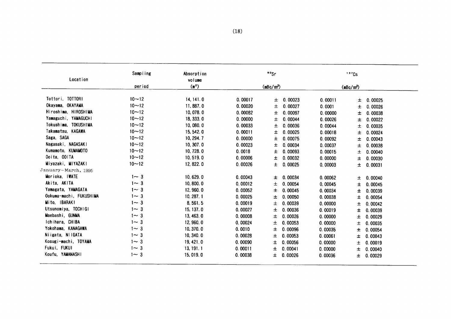| Location                | Sampling<br>Absorption<br>volume |                   |         | <sup>90</sup> Sr      |         |                       | $137$ Cs |         |
|-------------------------|----------------------------------|-------------------|---------|-----------------------|---------|-----------------------|----------|---------|
|                         | period                           | (m <sup>2</sup> ) |         | (mBq/m <sup>3</sup> ) |         | (mBq/m <sup>3</sup> ) |          |         |
| Tottori, TOTTORI        | $10 - 12$                        | 14, 141.0         | 0.00017 | 士                     | 0.00023 | 0.00011               | 土        | 0.00025 |
| Okayama, OKAYAMA        | $10 - 12$                        | 11,887.0          | 0.00020 | 土                     | 0.00027 | 0.0001                | 士        | 0.00026 |
| Hiroshima, HIROSHIMA    | $10 - 12$                        | 10,078.0          | 0.00082 | 士                     | 0.00097 | 0.00000               | Ŧ        | 0.00038 |
| Yamaguchi, YAMAGUCHI    | $10 - 12$                        | 18, 333.0         | 0.00000 | 土                     | 0.00044 | 0.00026               | 土        | 0.00022 |
| Tokushima, TOKUSHIMA    | $10 - 12$                        | 10,080.0          | 0.00033 | 土                     | 0.00036 | 0.00044               | 土        | 0.00035 |
| Takamatsu, KAGAWA       | $10 - 12$                        | 15, 542.0         | 0.00011 | 士                     | 0.00025 | 0.00018               | ±        | 0.00024 |
| Saga, SAGA              | $10 - 12$                        | 10, 294.7         | 0.00000 | 土                     | 0.00075 | 0.00092               | 土        | 0.00043 |
| Nagasaki, NAGASAKI      | $10 - 12$                        | 10, 307.0         | 0.00023 | 土                     | 0.00034 | 0.00037               | 土        | 0.00038 |
| Kumamoto, KUMAMOTO      | $10 - 12$                        | 10, 728.0         | 0.0018  | 土                     | 0.00093 | 0.00015               | 土        | 0.00040 |
| Ooita, OOITA            | $10 - 12$                        | 10, 519.0         | 0.00006 | 土                     | 0.00032 | 0.00000               | 士        | 0.00030 |
| Miyazaki, MIYAZAKI      | $10 - 12$                        | 12, 822.0         | 0.00026 | 土                     | 0.00025 | 0.00003               | 土        | 0.00031 |
| January~March, 1995     |                                  |                   |         |                       |         |                       |          |         |
| Morioka, IWATE          | $1 - 3$                          | 10, 629.0         | 0.00043 | ±                     | 0.00034 | 0.00062               | 土        | 0.00040 |
| Akita, AKITA            | $1 - 3$                          | 10, 800.0         | 0.00012 | 土                     | 0.00054 | 0.00045               | 土        | 0.00045 |
| Yamagata, YAMAGATA      | $1 - 3$                          | 12, 960.0         | 0.00052 | 士                     | 0.00045 | 0.00034               | 士        | 0.00039 |
| Ookuma-machi, FUKUSHIMA | $1 - 3$                          | 10, 287.1         | 0.00025 | 土                     | 0.00050 | 0.00038               | 士        | 0.00054 |
| Mito, IBARAKI           | $1 - 3$                          | 8,561.5           | 0.00019 | 土                     | 0.00039 | 0.00000               | 士        | 0.00042 |
| Utsunomiya, TOCHIGI     | $1 - 3$                          | 15, 137.0         | 0.00027 | 士                     | 0.00036 | 0.00019               | ±        | 0.00039 |
| Maebashi, GUNMA         | $1 - 3$                          | 13, 463.0         | 0.00008 | 土                     | 0.00026 | 0.00000               | 土        | 0.00029 |
| Ichihara, CHIBA         | $1 - 3$                          | 12, 960.0         | 0.00024 | 土                     | 0.00053 | 0.00000               | 士        | 0.00035 |
| Yokohama, KANAGAWA      | $1 \sim 3$                       | 10, 370.0         | 0.0010  | 士                     | 0.00096 | 0.00035               | Ŧ        | 0.00054 |
| Niigata, NIIGATA        | $1 - 3$                          | 10, 340.0         | 0.00028 | 土                     | 0.00053 | 0.00061               | 士        | 0.00043 |
| Kosugi-machi, TOYAMA    | $1 - 3$                          | 19, 421.0         | 0.00090 | 士                     | 0.00056 | 0.00000               | Ŧ        | 0.00019 |
| Fukui, FUKUI            | $1 - 3$                          | 13, 191.1         | 0.00011 | 士                     | 0.00041 | 0.00000               | 士        | 0.00040 |
| Koufu, YAMANASHI        | $1 - 3$                          | 15,019.0          | 0.00038 | 土                     | 0.00026 | 0.00036               | Ŧ.       | 0.00029 |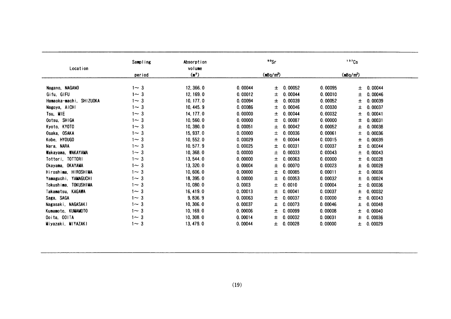|                         | Sampling    | Absorption                  |         | <sup>90</sup> Sr      |         | 137Cs                 |
|-------------------------|-------------|-----------------------------|---------|-----------------------|---------|-----------------------|
| Location                | period      | volume<br>(m <sup>2</sup> ) |         | (mBa/m <sup>3</sup> ) |         | (mBq/m <sup>3</sup> ) |
|                         |             |                             |         |                       |         |                       |
| Nagano, NAGANO          | $1 - 3$     | 12, 366.0                   | 0.00044 | 0.00052<br>±          | 0.00095 | 0.00044<br>士          |
| Gifu, GIFU              | $1 \sim 3$  | 12, 169.0                   | 0.00012 | 0.00044<br>土          | 0.00010 | 0.00046<br>土          |
| Hamaoka-machi, SHIZUOKA | $1 - 3$     | 10, 177.0                   | 0.00094 | 0.00039<br>士          | 0.00052 | 土<br>0.00039          |
| Nagoya, AICHI           | $1 - 3$     | 10, 445.9                   | 0.00086 | 0.00046<br>士          | 0.00030 | 0.00037<br>土          |
| Tsu, MIE                | $1 - 3$     | 14, 177.0                   | 0.00000 | 0.00044<br>土          | 0.00032 | 0.00041<br>土          |
| Ootsu, SHIGA            | $1 - 3$     | 10,560.0                    | 0.00000 | 0.00087<br>士          | 0.00000 | 0.00031<br>士          |
| Kyoto, KYOTO            | $1 - 3$     | 10, 380.0                   | 0.00051 | 0.00042<br>士          | 0.00052 | 0.00038<br>±          |
| Osaka, OSAKA            | -3<br>$1 -$ | 15, 937.0                   | 0.00000 | 0.00036<br>土          | 0.00061 | 0.00036<br>土          |
| Kobe, HYOUGO            | $1 - 3$     | 10, 552.0                   | 0.00029 | 0.00044<br>土          | 0.00015 | 0.00039<br>土          |
| Nara, NARA              | $1 - 3$     | 10, 577.9                   | 0.00025 | 0.00031<br>土          | 0.00037 | 0.00044<br>±          |
| Wakayama, WAKAYAMA      | $1 - 3$     | 10, 368.0                   | 0.00000 | 0.00033<br>土          | 0.00043 | 土<br>0.00043          |
| Tottori, TOTTORI        | $1 - 3$     | 13, 544.0                   | 0.00000 | 0.00063<br>士          | 0.00000 | 0.00028<br>土          |
| Okayama, OKAYAMA        | $1 - 3$     | 13, 320.0                   | 0.00004 | .00070<br>±           | 0.00023 | 0.00028<br>Ŧ          |
| Hiroshima, HIROSHIMA    | $1 - 3$     | 10,606.0                    | 0.00000 | 0.00085<br>士          | 0.00011 | 0.00036<br>土          |
| Yamaguchi, YAMAGUCHI    | $1 - 3$     | 18, 395.0                   | 0.00000 | 0.00053<br>士          | 0.00032 | 0.00024<br>Ŧ          |
| Tokushima, TOKUSHIMA    | $1 - 3$     | 10,080.0                    | 0.0003  | 0.0010<br>士           | 0.00004 | 0.00036<br>土          |
| Takamatsu, KAGAWA       | $1 - 3$     | 16, 419.0                   | 0.00013 | . 00041<br>土          | 0.00037 | 0.00032<br>土          |
| Saga, SAGA              | $1 - 3$     | 9,836.9                     | 0.00063 | 0.00037<br>土          | 0.00000 | 0.00043<br>土          |
| Nagasaki, NAGASAKI      | $1 - 3$     | 10, 306.0                   | 0.00037 | 0.00073<br>±          | 0.00046 | 0.00048<br>土          |
| Kumamoto, KUMAMOTO      | $1 - 3$     | 10, 169.0                   | 0.00006 | 0.00099<br>土          | 0.00008 | 0.00040<br>Ŧ.         |
| Ooita, OOITA            | $1 \sim 3$  | 10, 308.0                   | 0.00014 | 0.00032<br>土          | 0.00031 | 0.00036<br>士          |
| Miyazaki, MIYAZAKI      | $1 - 3$     | 13, 479.0                   | 0.00044 | 0.00028<br>士          | 0.00000 | 0.00029<br>±.         |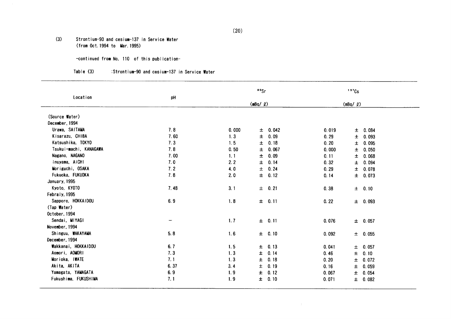#### $(3)$ Strontium-90 and cesium-137 in Service Water (from Oct. 1994 to Mar. 1995)

-continued from No, 110 of this publication-

#### $Table (3)$ :Strontium-90 and cesium-137 in Service Water

| Location               | pH   |       | °s            |       | $137$ Cs     |  |
|------------------------|------|-------|---------------|-------|--------------|--|
|                        |      |       | (mBq / g)     |       | $(mBq/$ $Q)$ |  |
| (Source Water)         |      |       |               |       |              |  |
| December, 1994         |      |       |               |       |              |  |
| Urawa, SAITAMA         | 7.8  | 0.000 | 0.042<br>土    | 0.019 | ± 0.084      |  |
| Kisarazu, CHIBA        | 7.60 | 1.3   | Ŧ<br>0.09     | 0.29  | ± 0.093      |  |
| Katsushika, TOKYO      | 7.3  | 1.5   | 0.18<br>Ŧ     | 0.20  | 0.095<br>士   |  |
| Tsukui-machi, KANAGAWA | 7.8  | 0.50  | 0.067<br>士    | 0.000 | 0.050<br>土   |  |
| Nagano, NAGANO         | 7.00 | 1, 1  | $\pm$<br>0.09 | 0.11  | ± 0.068      |  |
| Inuyama, AICHI         | 7.0  | 2.2   | 0.14<br>Ŧ     | 0.32  | ± 0.094      |  |
| Moriguchi, OSAKA       | 7.2  | 4.0   | 0.24<br>Ŧ     | 0.29  | $\pm 0.078$  |  |
| Fukuoka, FUKUOKA       | 7.8  | 2.0   | $\pm$<br>0.12 | 0.14  | $±$ 0.073    |  |
| January, 1995          |      |       |               |       |              |  |
| Kyoto, KYOTO           | 7.48 | 3.1   | $\pm 0.21$    | 0.38  | $\pm$ 0.10   |  |
| Febraly, 1995          |      |       |               |       |              |  |
| Sapporo, HOKKAIDOU     | 6.9  | 1.8   | $\pm$ 0.11    | 0.22  | $\pm$ 0.093  |  |
| (Tap Water)            |      |       |               |       |              |  |
| October, 1994          |      |       |               |       |              |  |
| Sendai, MIYAGI         | -    | 1.7   | ± 0.11        | 0.076 | ± 0.057      |  |
| November, 1994         |      |       |               |       |              |  |
| Shinguu, WAKAYAMA      | 5.8  | 1.6   | ± 0.10        | 0.092 | $\pm$ 0.055  |  |
| December, 1994         |      |       |               |       |              |  |
| Wakkanai, HOKKAIDOU    | 6.7  | 1.5   | 0.13<br>土     | 0.041 | $\pm$ 0.057  |  |
| Aomori, AOMORI         | 7.3  | 1.3   | 0.14<br>±.    | 0.46  | $\pm$ 0.10   |  |
| Morioka, IWATE         | 7.1  | 1.3   | ±.<br>0.18    | 0.20  | ± 0.072      |  |
| Akita, AKITA           | 6.37 | 3.4   | 0.19<br>土     | 0.16  | ± 0.059      |  |
| Yamagata, YAMAGATA     | 6.9  | 1.9   | 0.12<br>士     | 0.067 | ± 0.054      |  |
| Fukushima, FUKUSHIMA   | 7.1  | 1.9   | 0.10<br>Ŧ.    | 0.071 | $\pm$ 0.082  |  |

 $\sim 10^{-1}$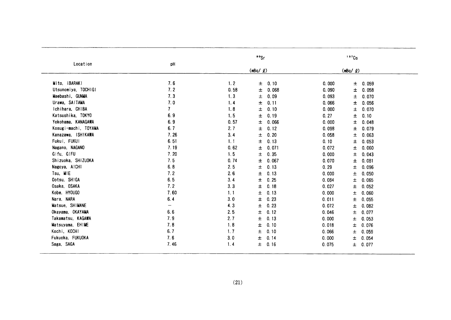| Location             | pH                       |      | $\cdot$ $\cdot$ Sr |       | 137Cs          |
|----------------------|--------------------------|------|--------------------|-------|----------------|
|                      |                          |      | $(mBq / \varrho)$  |       | (mBq/ Q)       |
| Mito, IBARAKI        | 7.6                      | 1.2  | 0.10<br>土          | 0.000 | ± 0.059        |
| Utsunomiya, TOCHIGI  | 7.2                      | 0.58 | 0.068<br>士         | 0.090 | 0.058<br>士     |
| Maebashi, GUNMA      | 7.3                      | 1.3  | 0.09<br>土          | 0.093 | 0.070<br>$\pm$ |
| Urawa, SAITAMA       | 7.0                      | 1.4  | $\pm$<br>0.11      | 0.066 | 土<br>0.056     |
| Ichihara, CHIBA      | $\overline{\mathcal{L}}$ | 1.8  | ±<br>0.10          | 0.000 | 0.070<br>$\pm$ |
| Katsushika, TOKYO    | 6.9                      | 1.5  | 0.19<br>Ŧ          | 0.27  | 0.10<br>$\pm$  |
| Yokohama, KANAGAWA   | 6.9                      | 0.57 | 士<br>0.066         | 0.000 | $\pm$<br>0.048 |
| Kosugi-machi, TOYAMA | 6.7                      | 2.7  | Ŧ<br>0.12          | 0.098 | $\pm$<br>0.079 |
| Kanazawa, ISHIKAWA   | 7.26                     | 3.4  | 0.20<br>土          | 0.058 | 0.063<br>土     |
| Fukui, FUKUI         | 6.51                     | 1.1  | 0.13<br>士          | 0.10  | $\pm$<br>0.053 |
| Nagano, NAGANO       | 7.19                     | 0.62 | 0.071<br>士         | 0.072 | 土<br>0.060     |
| Gifu, GIFU           | 7.20                     | 1.5  | 0.35<br>士          | 0.000 | $\pm$ 0.043    |
| Shizuoka, SHIZUOKA   | 7.5                      | 0.74 | 0.067<br>士         | 0.070 | 0.081<br>士     |
| Nagoya, AICHI        | 6.8                      | 2.5  | Ŧ<br>0.13          | 0.29  | 0.096<br>±.    |
| Tsu, MIE             | 7.2                      | 2.6  | 0.13<br>$\pm$      | 0.000 | 土<br>0.050     |
| Ootsu, SHIGA         | 6.5                      | 3.4  | 0.25<br>土          | 0.084 | 士<br>0.065     |
| Osaka, OSAKA         | 7.2                      | 3.3  | $\pm$<br>0.18      | 0.027 | Ŧ.<br>0.052    |
| Kobe, HYOUGO         | 7.60                     | 1.1  | 0.13<br>土          | 0.000 | 土<br>0.060     |
| Nara, NARA           | 6.4                      | 3.0  | 0.23<br>士          | 0.011 | 士<br>0.055     |
| Matsue, SHIMANE      | —                        | 4.3  | 0.23<br>$\pm$      | 0.072 | 土<br>0.082     |
| Okayama, OKAYAMA     | 6.6                      | 2.5  | 土<br>0.12          | 0.046 | 土<br>0.077     |
| Takamatsu, KAGAWA    | 7.9                      | 2.7  | ±<br>0.13          | 0.000 | ±.<br>0.053    |
| Matsuyama, EHIME     | 7.8                      | 1.8  | 0.10<br>Ŧ.         | 0.018 | ±.<br>0.076    |
| Kochi, KOCHI         | 6.7                      | 1.7  | 0.10<br>土          | 0.066 | 0.059<br>土     |
| Fukuoka, FUKUOKA     | 7.6                      | 3.0  | Ŧ.<br>0.14         | 0.000 | $\pm$<br>0.054 |
| Saga, SAGA           | 7.46                     | 1.4  | 0.16<br>土          | 0.075 | ± 0.077        |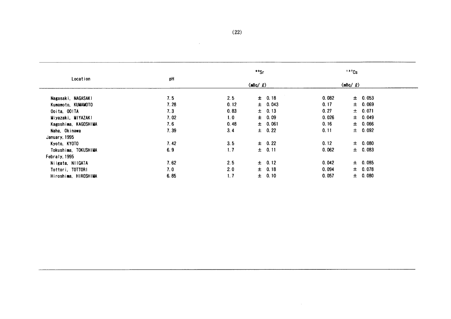| Location             | pH   |      | $\cdot$ $\cdot$ |       | 137Cs          |  |
|----------------------|------|------|-----------------|-------|----------------|--|
|                      |      |      | $(mBq/ \ell)$   |       | $(mBq / \ell)$ |  |
| Nagasaki, NAGASAKI   | 7.5  | 2.5  | 0.18<br>士       | 0.082 | $\pm 0.053$    |  |
| Kumamoto, KUMAMOTO   | 7.28 | 0.12 | $\pm$ 0.043     | 0.17  | ± 0.069        |  |
| Ooita, OOITA         | 7.3  | 0.83 | 0.13<br>士。      | 0.27  | ± 0.071        |  |
| Miyazaki, MIYAZAKI   | 7.02 | 1.0  | $\pm$ 0.09      | 0.026 | $\pm 0.049$    |  |
| Kagoshima, KAGOSHIMA | 7.6  | 0.48 | $\pm$ 0.061     | 0.16  | $\pm$ 0.066    |  |
| Naha, Okinawa        | 7.39 | 3.4  | $\pm$ 0.22      | 0.11  | $\pm$ 0.092    |  |
| January, 1995        |      |      |                 |       |                |  |
| Kyoto, KYOTO         | 7.42 | 3.5  | $\pm$ 0.22      | 0.12  | $\pm 0.080$    |  |
| Tokushima, TOKUSHIMA | 6.9  | 1.7  | ± 0.11          | 0.062 | $\pm$ 0.083    |  |
| Febraly, 1995        |      |      |                 |       |                |  |
| Niigata, NIIGATA     | 7.62 | 2.5  | $\pm$ 0.12      | 0.042 | $\pm 0.085$    |  |
| Tottori, TOTTORI     | 7.0  | 2.0  | $±$ 0.18        | 0.094 | ± 0.078        |  |
| Hiroshima, HIROSHIMA | 6.85 | 1.7  | 0.10<br>士       | 0.057 | ± 0.080        |  |

 $\sim 100$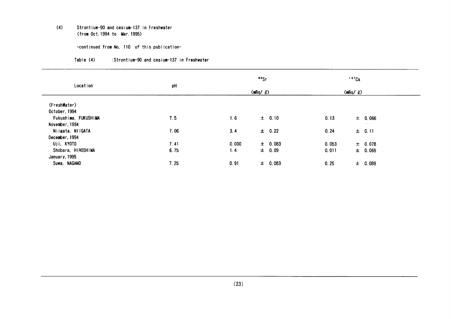#### $(4)$ Strontium-90 and cesium-137 in Freshwater (from Oct. 1994 to Mar. 1995)

-continued from No, 110 of this publication-

| Location             | pH   |       | $\cdot \cdot$ sr | $137$ Cs |                |  |
|----------------------|------|-------|------------------|----------|----------------|--|
|                      |      |       | (mBq/2)          |          | $(mBq / \ell)$ |  |
| (FreshWater)         |      |       |                  |          |                |  |
| October, 1994        |      |       |                  |          |                |  |
| Fukushima, FUKUSHIMA | 7.5  | 1.6   | $\pm$ 0.10       | 0.13     | $\pm$ 0.066    |  |
| November, 1994       |      |       |                  |          |                |  |
| Niigata, NIIGATA     | 7.06 | 3.4   | $\pm$ 0.22       | 0.24     | $\pm 0.11$     |  |
| December, 1994       |      |       |                  |          |                |  |
| Uji, KYOTO           | 7.41 | 0.000 | $\pm 0.083$      | 0.053    | $\pm 0.078$    |  |
| Shobara, HIROSHIMA   | 6.75 | 1.4   | $\pm$ 0.09       | 0.011    | $\pm 0.069$    |  |
| January, 1995        |      |       |                  |          |                |  |
| Suwa, NAGANO         | 7.25 | 0.91  | $\pm$ 0.083      | 0.25     | $\pm$ 0.089    |  |

#### Table (4) :Strontium-90 and cesium-137 in Freshwater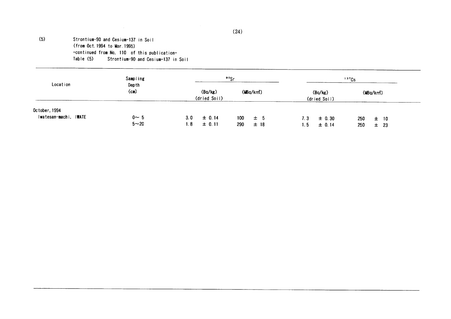#### Strontium-90 and Cesium-137 in Soil (from Oct. 1994 to Mar. 1995) -continued from No, 110 of this publication-Table (5) Strontium-90 and Cesium-137 in Soil

 $(5)$ 

| Location                               | Sampling        |                         | <sup>90</sup> Sr       |                         | 137Cs           |
|----------------------------------------|-----------------|-------------------------|------------------------|-------------------------|-----------------|
|                                        | Depth<br>$(cm)$ | (Bq/kg)<br>(dried Soil) | (MBq/km <sup>2</sup> ) | (Bq/kg)<br>(dried Soil) | (MBq/km)        |
| October, 1994<br>Iwatesan-machi, IWATE | $0 - 5$         | $\pm 0.14$              |                        |                         |                 |
|                                        |                 | 3.0                     | 100<br>士 5             | $\pm$ 0.30<br>7.3       | 250<br>$\pm$ 10 |
|                                        | $5 - 20$        | 1.8<br>$\pm 0.11$       | 290<br>±18             | ± 0.14<br>1.5           | 250<br>23<br>士  |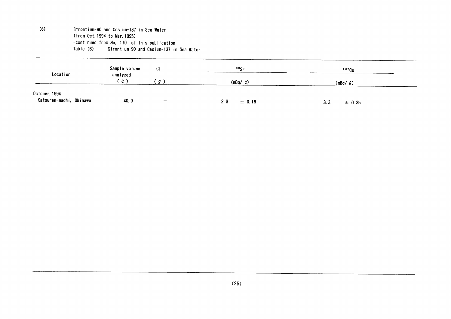$(6)$ 

Strontium-90 and Cesium-137 in Sea Water (from Oct. 1994 to Mar. 1995) -continued from No. 110 of this publication-Table (6) Strontium-90 and Cesium-137 in Sea Water

| Location                                 | Sample volume<br>analyzed<br>∵ ه' | C <sub>1</sub>           | <sup>∍o</sup> Sr  | 137Cs             |  |
|------------------------------------------|-----------------------------------|--------------------------|-------------------|-------------------|--|
|                                          |                                   | $\boldsymbol{\theta}$    | (mBq/2)           | $(mBq/ \ell)$     |  |
| October, 1994<br>Katsuren-machi, Okinawa | 40.0                              | $\overline{\phantom{a}}$ | 2.3<br>$\pm 0.19$ | 3.3<br>$\pm$ 0.35 |  |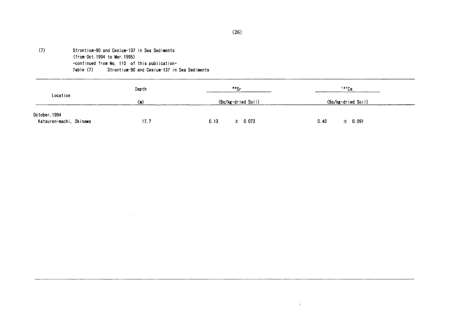#### $(7)$ Strontium-90 and Cesium-137 in Sea Sediments (from Oct. 1994 to Mar. 1995) -continued from No. 110 of this publication-Table (7) Strontium-90 and Cesium-137 in Sea Sediments

 $\sim$ 

|                         | Depth | 99Sr<br>(Bq/kg·dried Soil) | $137$ Cs            |  |
|-------------------------|-------|----------------------------|---------------------|--|
| Location                | (m)   |                            | (Bq/kg·dried Soil)  |  |
| October, 1994           |       |                            |                     |  |
| Katsuren-machi, Okinawa | 17.7  | $\pm$ 0.073<br>0.13        | 0.40<br>$\pm$ 0.091 |  |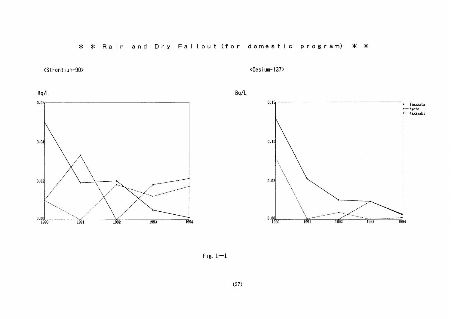\* \* Rain and Dry Fallout (for domestic program) \* \*



<Cesium-137>



Fig.  $1-1$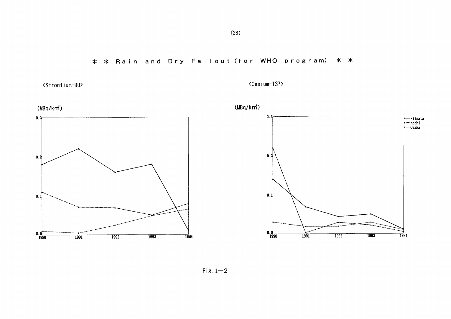\* \* Rain and Dry Fallout (for WHO program) \* \*



<Cesium-137>



Fig.  $1-2$ 

 $\mathcal{L}^{\pm}$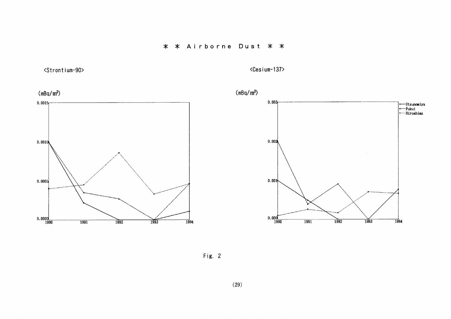\* \* Airborne Dust \* \*



<Cesium-137>



Fig. 2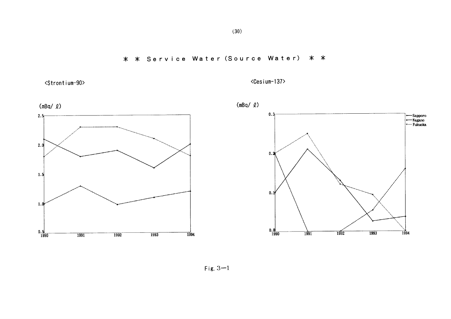\* \* Service Water (Source Water) \* \*



<Cesium-137>



 $(30)$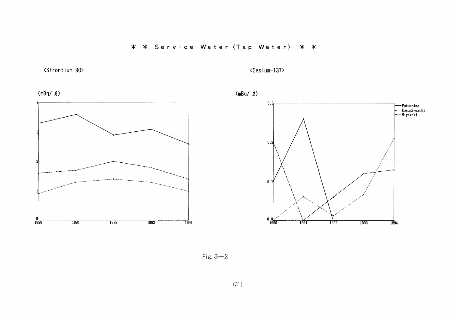\* \* Service Water (Tap Water) \* \*

## <Strontium-90>

<Cesium-137>







Fig.  $3-2$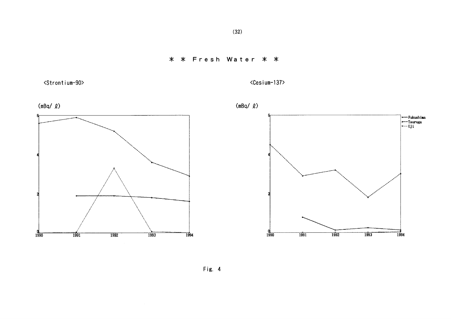

<Strontium-90>

<Cesium-137>





 $(32)$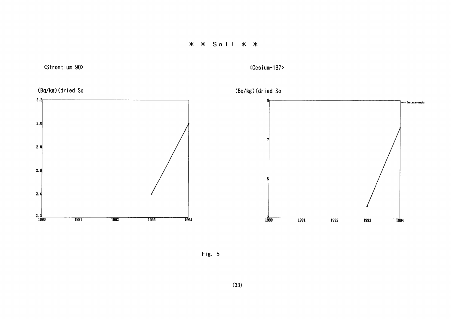

 $\langle$ Cesium-137>



Fig. 5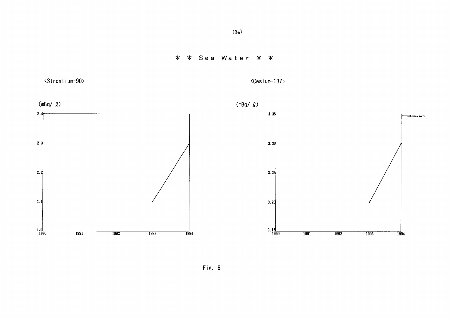## \* \* Sea Water \* \*



<Cesium-137>



Fig. 6

 $(34)$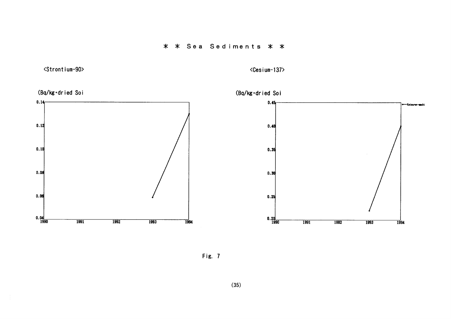\* \* Sea Sediments \* \*

<Strontium-90>

<Cesium-137>



Fig. 7